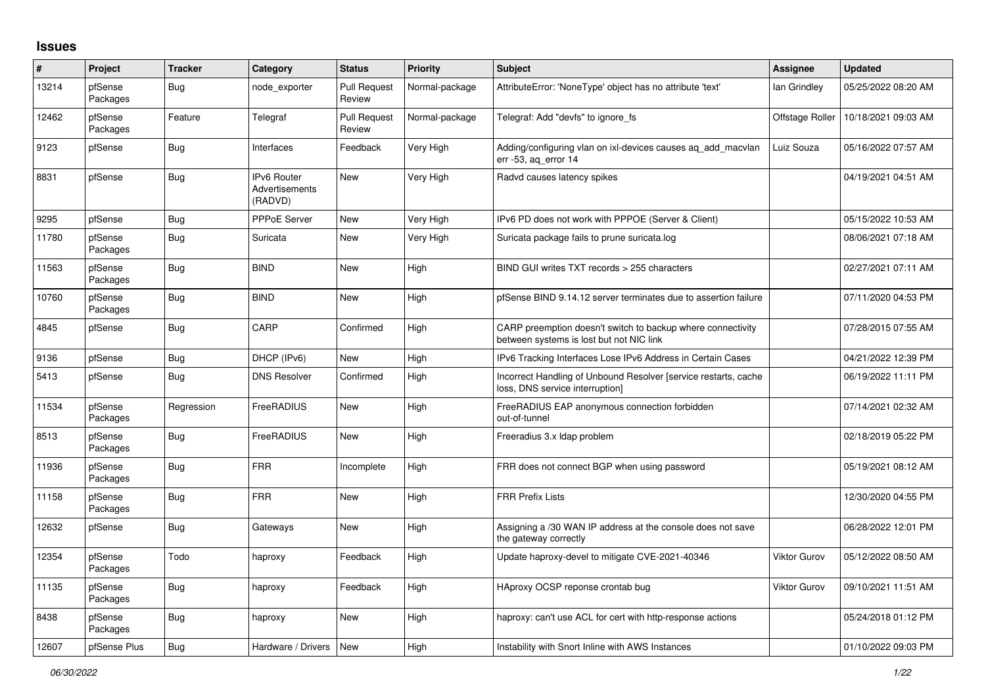## **Issues**

| #     | Project             | <b>Tracker</b> | Category                                        | <b>Status</b>                 | <b>Priority</b> | <b>Subject</b>                                                                                          | <b>Assignee</b> | <b>Updated</b>      |
|-------|---------------------|----------------|-------------------------------------------------|-------------------------------|-----------------|---------------------------------------------------------------------------------------------------------|-----------------|---------------------|
| 13214 | pfSense<br>Packages | <b>Bug</b>     | node exporter                                   | <b>Pull Request</b><br>Review | Normal-package  | AttributeError: 'NoneType' object has no attribute 'text'                                               | lan Grindley    | 05/25/2022 08:20 AM |
| 12462 | pfSense<br>Packages | Feature        | Telegraf                                        | <b>Pull Request</b><br>Review | Normal-package  | Telegraf: Add "devfs" to ignore fs                                                                      | Offstage Roller | 10/18/2021 09:03 AM |
| 9123  | pfSense             | <b>Bug</b>     | Interfaces                                      | Feedback                      | Very High       | Adding/configuring vlan on ixl-devices causes ag add macvlan<br>err -53, aq_error 14                    | Luiz Souza      | 05/16/2022 07:57 AM |
| 8831  | pfSense             | <b>Bug</b>     | <b>IPv6 Router</b><br>Advertisements<br>(RADVD) | <b>New</b>                    | Very High       | Radvd causes latency spikes                                                                             |                 | 04/19/2021 04:51 AM |
| 9295  | pfSense             | <b>Bug</b>     | PPPoE Server                                    | New                           | Very High       | IPv6 PD does not work with PPPOE (Server & Client)                                                      |                 | 05/15/2022 10:53 AM |
| 11780 | pfSense<br>Packages | <b>Bug</b>     | Suricata                                        | New                           | Very High       | Suricata package fails to prune suricata.log                                                            |                 | 08/06/2021 07:18 AM |
| 11563 | pfSense<br>Packages | Bug            | <b>BIND</b>                                     | New                           | High            | BIND GUI writes TXT records > 255 characters                                                            |                 | 02/27/2021 07:11 AM |
| 10760 | pfSense<br>Packages | <b>Bug</b>     | <b>BIND</b>                                     | <b>New</b>                    | High            | pfSense BIND 9.14.12 server terminates due to assertion failure                                         |                 | 07/11/2020 04:53 PM |
| 4845  | pfSense             | <b>Bug</b>     | CARP                                            | Confirmed                     | High            | CARP preemption doesn't switch to backup where connectivity<br>between systems is lost but not NIC link |                 | 07/28/2015 07:55 AM |
| 9136  | pfSense             | <b>Bug</b>     | DHCP (IPv6)                                     | <b>New</b>                    | High            | IPv6 Tracking Interfaces Lose IPv6 Address in Certain Cases                                             |                 | 04/21/2022 12:39 PM |
| 5413  | pfSense             | <b>Bug</b>     | <b>DNS Resolver</b>                             | Confirmed                     | High            | Incorrect Handling of Unbound Resolver [service restarts, cache<br>loss, DNS service interruption]      |                 | 06/19/2022 11:11 PM |
| 11534 | pfSense<br>Packages | Regression     | FreeRADIUS                                      | New                           | High            | FreeRADIUS EAP anonymous connection forbidden<br>out-of-tunnel                                          |                 | 07/14/2021 02:32 AM |
| 8513  | pfSense<br>Packages | <b>Bug</b>     | FreeRADIUS                                      | <b>New</b>                    | High            | Freeradius 3.x Idap problem                                                                             |                 | 02/18/2019 05:22 PM |
| 11936 | pfSense<br>Packages | <b>Bug</b>     | <b>FRR</b>                                      | Incomplete                    | High            | FRR does not connect BGP when using password                                                            |                 | 05/19/2021 08:12 AM |
| 11158 | pfSense<br>Packages | <b>Bug</b>     | <b>FRR</b>                                      | <b>New</b>                    | High            | <b>FRR Prefix Lists</b>                                                                                 |                 | 12/30/2020 04:55 PM |
| 12632 | pfSense             | <b>Bug</b>     | Gateways                                        | New                           | High            | Assigning a /30 WAN IP address at the console does not save<br>the gateway correctly                    |                 | 06/28/2022 12:01 PM |
| 12354 | pfSense<br>Packages | Todo           | haproxy                                         | Feedback                      | High            | Update haproxy-devel to mitigate CVE-2021-40346                                                         | Viktor Gurov    | 05/12/2022 08:50 AM |
| 11135 | pfSense<br>Packages | <b>Bug</b>     | haproxy                                         | Feedback                      | High            | HAproxy OCSP reponse crontab bug                                                                        | Viktor Gurov    | 09/10/2021 11:51 AM |
| 8438  | pfSense<br>Packages | <b>Bug</b>     | haproxy                                         | New                           | High            | haproxy: can't use ACL for cert with http-response actions                                              |                 | 05/24/2018 01:12 PM |
| 12607 | pfSense Plus        | Bug            | Hardware / Drivers                              | <b>New</b>                    | High            | Instability with Snort Inline with AWS Instances                                                        |                 | 01/10/2022 09:03 PM |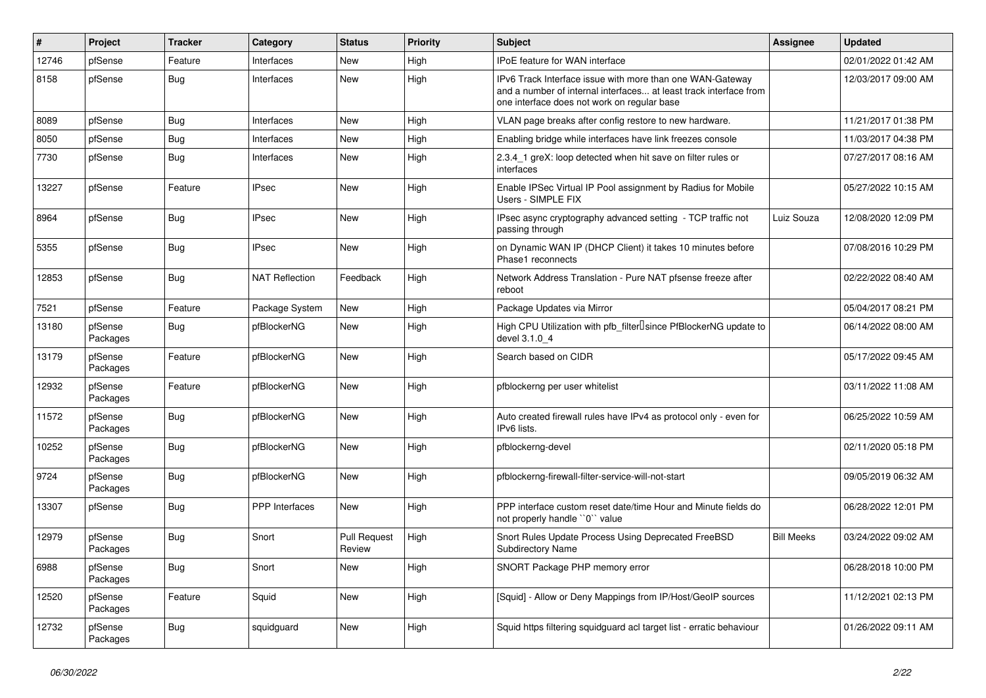| $\vert$ # | Project             | <b>Tracker</b> | Category              | <b>Status</b>                 | <b>Priority</b> | <b>Subject</b>                                                                                                                                                                | <b>Assignee</b>   | <b>Updated</b>      |
|-----------|---------------------|----------------|-----------------------|-------------------------------|-----------------|-------------------------------------------------------------------------------------------------------------------------------------------------------------------------------|-------------------|---------------------|
| 12746     | pfSense             | Feature        | Interfaces            | <b>New</b>                    | High            | IPoE feature for WAN interface                                                                                                                                                |                   | 02/01/2022 01:42 AM |
| 8158      | pfSense             | <b>Bug</b>     | Interfaces            | <b>New</b>                    | High            | IPv6 Track Interface issue with more than one WAN-Gateway<br>and a number of internal interfaces at least track interface from<br>one interface does not work on regular base |                   | 12/03/2017 09:00 AM |
| 8089      | pfSense             | <b>Bug</b>     | Interfaces            | <b>New</b>                    | High            | VLAN page breaks after config restore to new hardware.                                                                                                                        |                   | 11/21/2017 01:38 PM |
| 8050      | pfSense             | <b>Bug</b>     | Interfaces            | New                           | High            | Enabling bridge while interfaces have link freezes console                                                                                                                    |                   | 11/03/2017 04:38 PM |
| 7730      | pfSense             | <b>Bug</b>     | Interfaces            | <b>New</b>                    | High            | 2.3.4 1 greX: loop detected when hit save on filter rules or<br>interfaces                                                                                                    |                   | 07/27/2017 08:16 AM |
| 13227     | pfSense             | Feature        | <b>IPsec</b>          | <b>New</b>                    | High            | Enable IPSec Virtual IP Pool assignment by Radius for Mobile<br>Users - SIMPLE FIX                                                                                            |                   | 05/27/2022 10:15 AM |
| 8964      | pfSense             | <b>Bug</b>     | <b>IPsec</b>          | <b>New</b>                    | High            | IPsec async cryptography advanced setting - TCP traffic not<br>passing through                                                                                                | Luiz Souza        | 12/08/2020 12:09 PM |
| 5355      | pfSense             | <b>Bug</b>     | <b>IPsec</b>          | New                           | High            | on Dynamic WAN IP (DHCP Client) it takes 10 minutes before<br>Phase1 reconnects                                                                                               |                   | 07/08/2016 10:29 PM |
| 12853     | pfSense             | <b>Bug</b>     | <b>NAT Reflection</b> | Feedback                      | High            | Network Address Translation - Pure NAT pfsense freeze after<br>reboot                                                                                                         |                   | 02/22/2022 08:40 AM |
| 7521      | pfSense             | Feature        | Package System        | New                           | High            | Package Updates via Mirror                                                                                                                                                    |                   | 05/04/2017 08:21 PM |
| 13180     | pfSense<br>Packages | Bug            | pfBlockerNG           | New                           | High            | High CPU Utilization with pfb_filter <sup>[]</sup> since PfBlockerNG update to<br>devel 3.1.0 4                                                                               |                   | 06/14/2022 08:00 AM |
| 13179     | pfSense<br>Packages | Feature        | pfBlockerNG           | <b>New</b>                    | High            | Search based on CIDR                                                                                                                                                          |                   | 05/17/2022 09:45 AM |
| 12932     | pfSense<br>Packages | Feature        | pfBlockerNG           | <b>New</b>                    | High            | pfblockerng per user whitelist                                                                                                                                                |                   | 03/11/2022 11:08 AM |
| 11572     | pfSense<br>Packages | <b>Bug</b>     | pfBlockerNG           | <b>New</b>                    | High            | Auto created firewall rules have IPv4 as protocol only - even for<br>IPv6 lists.                                                                                              |                   | 06/25/2022 10:59 AM |
| 10252     | pfSense<br>Packages | Bug            | pfBlockerNG           | New                           | High            | pfblockerng-devel                                                                                                                                                             |                   | 02/11/2020 05:18 PM |
| 9724      | pfSense<br>Packages | Bug            | pfBlockerNG           | <b>New</b>                    | High            | pfblockerng-firewall-filter-service-will-not-start                                                                                                                            |                   | 09/05/2019 06:32 AM |
| 13307     | pfSense             | Bug            | <b>PPP</b> Interfaces | New                           | High            | PPP interface custom reset date/time Hour and Minute fields do<br>not properly handle "0" value                                                                               |                   | 06/28/2022 12:01 PM |
| 12979     | pfSense<br>Packages | Bug            | Snort                 | <b>Pull Request</b><br>Review | High            | Snort Rules Update Process Using Deprecated FreeBSD<br><b>Subdirectory Name</b>                                                                                               | <b>Bill Meeks</b> | 03/24/2022 09:02 AM |
| 6988      | pfSense<br>Packages | <b>Bug</b>     | Snort                 | <b>New</b>                    | High            | SNORT Package PHP memory error                                                                                                                                                |                   | 06/28/2018 10:00 PM |
| 12520     | pfSense<br>Packages | Feature        | Squid                 | New                           | High            | [Squid] - Allow or Deny Mappings from IP/Host/GeoIP sources                                                                                                                   |                   | 11/12/2021 02:13 PM |
| 12732     | pfSense<br>Packages | Bug            | squidguard            | <b>New</b>                    | High            | Squid https filtering squidguard acl target list - erratic behaviour                                                                                                          |                   | 01/26/2022 09:11 AM |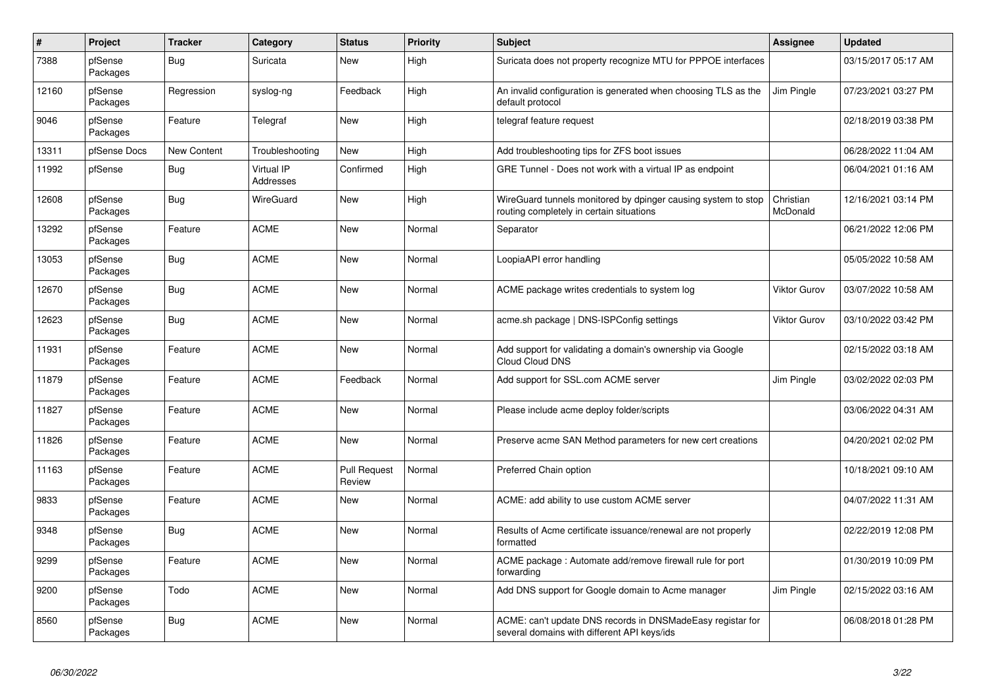| $\vert$ # | Project             | <b>Tracker</b>     | Category                       | <b>Status</b>                 | <b>Priority</b> | <b>Subject</b>                                                                                            | Assignee              | <b>Updated</b>      |
|-----------|---------------------|--------------------|--------------------------------|-------------------------------|-----------------|-----------------------------------------------------------------------------------------------------------|-----------------------|---------------------|
| 7388      | pfSense<br>Packages | Bug                | Suricata                       | <b>New</b>                    | High            | Suricata does not property recognize MTU for PPPOE interfaces                                             |                       | 03/15/2017 05:17 AM |
| 12160     | pfSense<br>Packages | Regression         | syslog-ng                      | Feedback                      | High            | An invalid configuration is generated when choosing TLS as the<br>default protocol                        | Jim Pingle            | 07/23/2021 03:27 PM |
| 9046      | pfSense<br>Packages | Feature            | Telegraf                       | <b>New</b>                    | High            | telegraf feature request                                                                                  |                       | 02/18/2019 03:38 PM |
| 13311     | pfSense Docs        | <b>New Content</b> | Troubleshooting                | <b>New</b>                    | High            | Add troubleshooting tips for ZFS boot issues                                                              |                       | 06/28/2022 11:04 AM |
| 11992     | pfSense             | <b>Bug</b>         | <b>Virtual IP</b><br>Addresses | Confirmed                     | High            | GRE Tunnel - Does not work with a virtual IP as endpoint                                                  |                       | 06/04/2021 01:16 AM |
| 12608     | pfSense<br>Packages | <b>Bug</b>         | WireGuard                      | <b>New</b>                    | High            | WireGuard tunnels monitored by dpinger causing system to stop<br>routing completely in certain situations | Christian<br>McDonald | 12/16/2021 03:14 PM |
| 13292     | pfSense<br>Packages | Feature            | <b>ACME</b>                    | <b>New</b>                    | Normal          | Separator                                                                                                 |                       | 06/21/2022 12:06 PM |
| 13053     | pfSense<br>Packages | <b>Bug</b>         | <b>ACME</b>                    | <b>New</b>                    | Normal          | LoopiaAPI error handling                                                                                  |                       | 05/05/2022 10:58 AM |
| 12670     | pfSense<br>Packages | Bug                | <b>ACME</b>                    | <b>New</b>                    | Normal          | ACME package writes credentials to system log                                                             | Viktor Gurov          | 03/07/2022 10:58 AM |
| 12623     | pfSense<br>Packages | <b>Bug</b>         | <b>ACME</b>                    | <b>New</b>                    | Normal          | acme.sh package   DNS-ISPConfig settings                                                                  | Viktor Gurov          | 03/10/2022 03:42 PM |
| 11931     | pfSense<br>Packages | Feature            | <b>ACME</b>                    | <b>New</b>                    | Normal          | Add support for validating a domain's ownership via Google<br><b>Cloud Cloud DNS</b>                      |                       | 02/15/2022 03:18 AM |
| 11879     | pfSense<br>Packages | Feature            | <b>ACME</b>                    | Feedback                      | Normal          | Add support for SSL.com ACME server                                                                       | Jim Pingle            | 03/02/2022 02:03 PM |
| 11827     | pfSense<br>Packages | Feature            | <b>ACME</b>                    | <b>New</b>                    | Normal          | Please include acme deploy folder/scripts                                                                 |                       | 03/06/2022 04:31 AM |
| 11826     | pfSense<br>Packages | Feature            | <b>ACME</b>                    | New                           | Normal          | Preserve acme SAN Method parameters for new cert creations                                                |                       | 04/20/2021 02:02 PM |
| 11163     | pfSense<br>Packages | Feature            | <b>ACME</b>                    | <b>Pull Request</b><br>Review | Normal          | Preferred Chain option                                                                                    |                       | 10/18/2021 09:10 AM |
| 9833      | pfSense<br>Packages | Feature            | <b>ACME</b>                    | <b>New</b>                    | Normal          | ACME: add ability to use custom ACME server                                                               |                       | 04/07/2022 11:31 AM |
| 9348      | pfSense<br>Packages | <b>Bug</b>         | <b>ACME</b>                    | <b>New</b>                    | Normal          | Results of Acme certificate issuance/renewal are not properly<br>formatted                                |                       | 02/22/2019 12:08 PM |
| 9299      | pfSense<br>Packages | Feature            | <b>ACME</b>                    | <b>New</b>                    | Normal          | ACME package: Automate add/remove firewall rule for port<br>forwarding                                    |                       | 01/30/2019 10:09 PM |
| 9200      | pfSense<br>Packages | Todo               | <b>ACME</b>                    | <b>New</b>                    | Normal          | Add DNS support for Google domain to Acme manager                                                         | Jim Pingle            | 02/15/2022 03:16 AM |
| 8560      | pfSense<br>Packages | <b>Bug</b>         | <b>ACME</b>                    | <b>New</b>                    | Normal          | ACME: can't update DNS records in DNSMadeEasy registar for<br>several domains with different API keys/ids |                       | 06/08/2018 01:28 PM |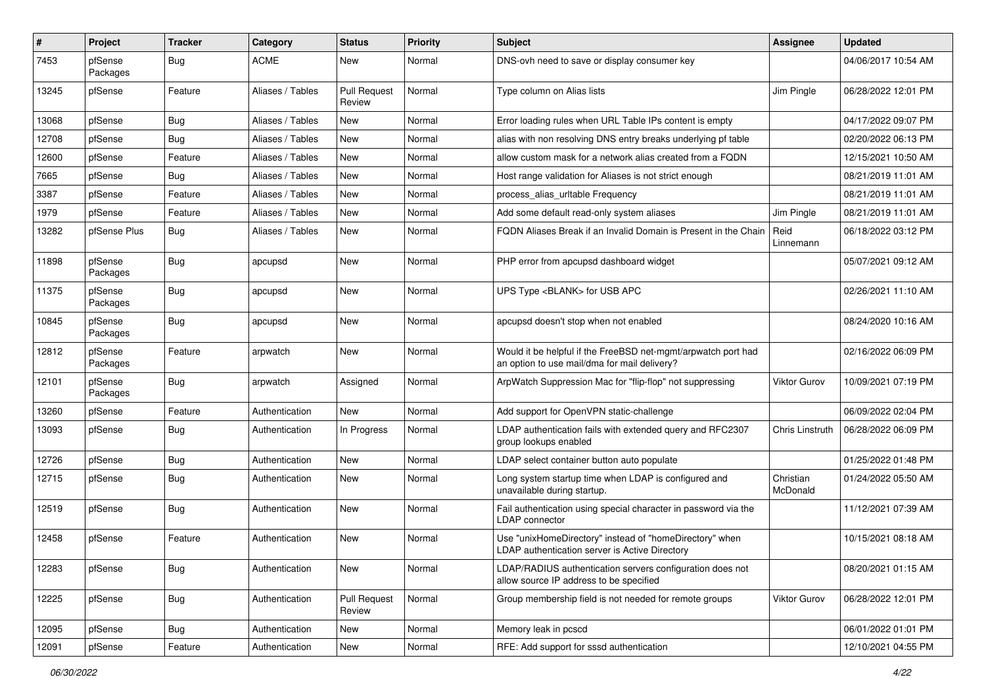| #     | Project             | <b>Tracker</b> | Category         | <b>Status</b>                 | <b>Priority</b> | Subject                                                                                                       | <b>Assignee</b>       | <b>Updated</b>      |
|-------|---------------------|----------------|------------------|-------------------------------|-----------------|---------------------------------------------------------------------------------------------------------------|-----------------------|---------------------|
| 7453  | pfSense<br>Packages | <b>Bug</b>     | <b>ACME</b>      | New                           | Normal          | DNS-ovh need to save or display consumer key                                                                  |                       | 04/06/2017 10:54 AM |
| 13245 | pfSense             | Feature        | Aliases / Tables | <b>Pull Request</b><br>Review | Normal          | Type column on Alias lists                                                                                    | Jim Pingle            | 06/28/2022 12:01 PM |
| 13068 | pfSense             | Bug            | Aliases / Tables | New                           | Normal          | Error loading rules when URL Table IPs content is empty                                                       |                       | 04/17/2022 09:07 PM |
| 12708 | pfSense             | Bug            | Aliases / Tables | New                           | Normal          | alias with non resolving DNS entry breaks underlying pf table                                                 |                       | 02/20/2022 06:13 PM |
| 12600 | pfSense             | Feature        | Aliases / Tables | New                           | Normal          | allow custom mask for a network alias created from a FQDN                                                     |                       | 12/15/2021 10:50 AM |
| 7665  | pfSense             | Bug            | Aliases / Tables | New                           | Normal          | Host range validation for Aliases is not strict enough                                                        |                       | 08/21/2019 11:01 AM |
| 3387  | pfSense             | Feature        | Aliases / Tables | New                           | Normal          | process_alias_urltable Frequency                                                                              |                       | 08/21/2019 11:01 AM |
| 1979  | pfSense             | Feature        | Aliases / Tables | New                           | Normal          | Add some default read-only system aliases                                                                     | Jim Pingle            | 08/21/2019 11:01 AM |
| 13282 | pfSense Plus        | <b>Bug</b>     | Aliases / Tables | New                           | Normal          | FQDN Aliases Break if an Invalid Domain is Present in the Chain                                               | Reid<br>Linnemann     | 06/18/2022 03:12 PM |
| 11898 | pfSense<br>Packages | <b>Bug</b>     | apcupsd          | New                           | Normal          | PHP error from apcupsd dashboard widget                                                                       |                       | 05/07/2021 09:12 AM |
| 11375 | pfSense<br>Packages | <b>Bug</b>     | apcupsd          | New                           | Normal          | UPS Type <blank> for USB APC</blank>                                                                          |                       | 02/26/2021 11:10 AM |
| 10845 | pfSense<br>Packages | Bug            | apcupsd          | New                           | Normal          | apcupsd doesn't stop when not enabled                                                                         |                       | 08/24/2020 10:16 AM |
| 12812 | pfSense<br>Packages | Feature        | arpwatch         | New                           | Normal          | Would it be helpful if the FreeBSD net-mgmt/arpwatch port had<br>an option to use mail/dma for mail delivery? |                       | 02/16/2022 06:09 PM |
| 12101 | pfSense<br>Packages | Bug            | arpwatch         | Assigned                      | Normal          | ArpWatch Suppression Mac for "flip-flop" not suppressing                                                      | Viktor Gurov          | 10/09/2021 07:19 PM |
| 13260 | pfSense             | Feature        | Authentication   | New                           | Normal          | Add support for OpenVPN static-challenge                                                                      |                       | 06/09/2022 02:04 PM |
| 13093 | pfSense             | Bug            | Authentication   | In Progress                   | Normal          | LDAP authentication fails with extended query and RFC2307<br>group lookups enabled                            | Chris Linstruth       | 06/28/2022 06:09 PM |
| 12726 | pfSense             | <b>Bug</b>     | Authentication   | New                           | Normal          | LDAP select container button auto populate                                                                    |                       | 01/25/2022 01:48 PM |
| 12715 | pfSense             | <b>Bug</b>     | Authentication   | New                           | Normal          | Long system startup time when LDAP is configured and<br>unavailable during startup.                           | Christian<br>McDonald | 01/24/2022 05:50 AM |
| 12519 | pfSense             | <b>Bug</b>     | Authentication   | <b>New</b>                    | Normal          | Fail authentication using special character in password via the<br>LDAP connector                             |                       | 11/12/2021 07:39 AM |
| 12458 | pfSense             | Feature        | Authentication   | New                           | Normal          | Use "unixHomeDirectory" instead of "homeDirectory" when<br>LDAP authentication server is Active Directory     |                       | 10/15/2021 08:18 AM |
| 12283 | pfSense             | <b>Bug</b>     | Authentication   | New                           | Normal          | LDAP/RADIUS authentication servers configuration does not<br>allow source IP address to be specified          |                       | 08/20/2021 01:15 AM |
| 12225 | pfSense             | <b>Bug</b>     | Authentication   | <b>Pull Request</b><br>Review | Normal          | Group membership field is not needed for remote groups                                                        | <b>Viktor Gurov</b>   | 06/28/2022 12:01 PM |
| 12095 | pfSense             | Bug            | Authentication   | New                           | Normal          | Memory leak in pcscd                                                                                          |                       | 06/01/2022 01:01 PM |
| 12091 | pfSense             | Feature        | Authentication   | New                           | Normal          | RFE: Add support for sssd authentication                                                                      |                       | 12/10/2021 04:55 PM |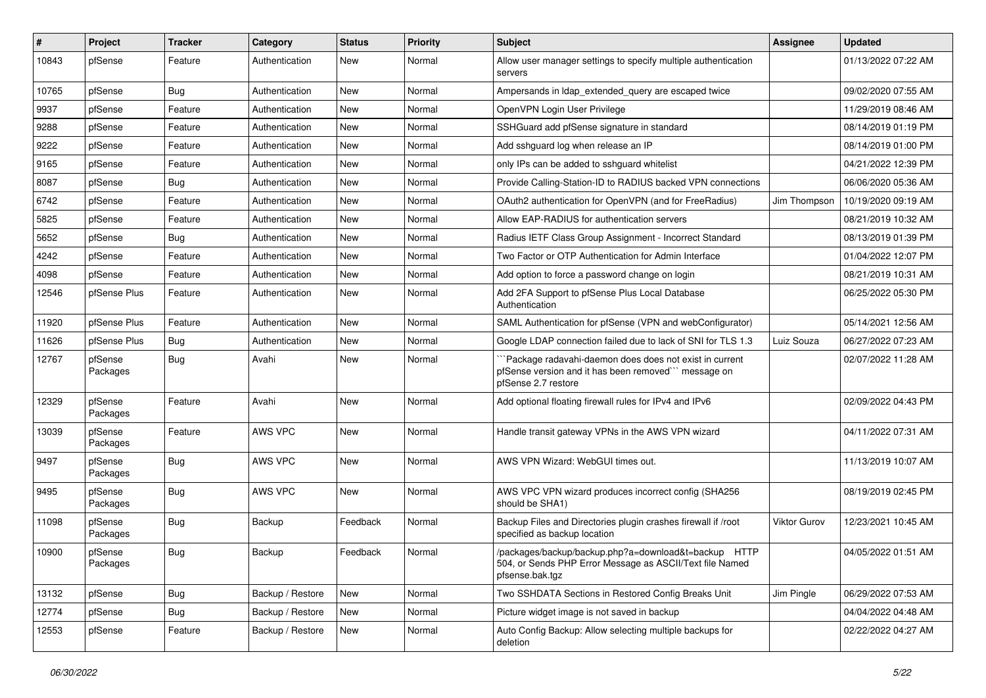| $\vert$ # | Project             | <b>Tracker</b> | Category         | <b>Status</b> | <b>Priority</b> | <b>Subject</b>                                                                                                                       | <b>Assignee</b> | <b>Updated</b>      |
|-----------|---------------------|----------------|------------------|---------------|-----------------|--------------------------------------------------------------------------------------------------------------------------------------|-----------------|---------------------|
| 10843     | pfSense             | Feature        | Authentication   | <b>New</b>    | Normal          | Allow user manager settings to specify multiple authentication<br>servers                                                            |                 | 01/13/2022 07:22 AM |
| 10765     | pfSense             | <b>Bug</b>     | Authentication   | <b>New</b>    | Normal          | Ampersands in Idap extended query are escaped twice                                                                                  |                 | 09/02/2020 07:55 AM |
| 9937      | pfSense             | Feature        | Authentication   | <b>New</b>    | Normal          | OpenVPN Login User Privilege                                                                                                         |                 | 11/29/2019 08:46 AM |
| 9288      | pfSense             | Feature        | Authentication   | <b>New</b>    | Normal          | SSHGuard add pfSense signature in standard                                                                                           |                 | 08/14/2019 01:19 PM |
| 9222      | pfSense             | Feature        | Authentication   | New           | Normal          | Add sshguard log when release an IP                                                                                                  |                 | 08/14/2019 01:00 PM |
| 9165      | pfSense             | Feature        | Authentication   | <b>New</b>    | Normal          | only IPs can be added to sshguard whitelist                                                                                          |                 | 04/21/2022 12:39 PM |
| 8087      | pfSense             | <b>Bug</b>     | Authentication   | New           | Normal          | Provide Calling-Station-ID to RADIUS backed VPN connections                                                                          |                 | 06/06/2020 05:36 AM |
| 6742      | pfSense             | Feature        | Authentication   | <b>New</b>    | Normal          | OAuth2 authentication for OpenVPN (and for FreeRadius)                                                                               | Jim Thompson    | 10/19/2020 09:19 AM |
| 5825      | pfSense             | Feature        | Authentication   | <b>New</b>    | Normal          | Allow EAP-RADIUS for authentication servers                                                                                          |                 | 08/21/2019 10:32 AM |
| 5652      | pfSense             | <b>Bug</b>     | Authentication   | <b>New</b>    | Normal          | Radius IETF Class Group Assignment - Incorrect Standard                                                                              |                 | 08/13/2019 01:39 PM |
| 4242      | pfSense             | Feature        | Authentication   | <b>New</b>    | Normal          | Two Factor or OTP Authentication for Admin Interface                                                                                 |                 | 01/04/2022 12:07 PM |
| 4098      | pfSense             | Feature        | Authentication   | New           | Normal          | Add option to force a password change on login                                                                                       |                 | 08/21/2019 10:31 AM |
| 12546     | pfSense Plus        | Feature        | Authentication   | New           | Normal          | Add 2FA Support to pfSense Plus Local Database<br>Authentication                                                                     |                 | 06/25/2022 05:30 PM |
| 11920     | pfSense Plus        | Feature        | Authentication   | New           | Normal          | SAML Authentication for pfSense (VPN and webConfigurator)                                                                            |                 | 05/14/2021 12:56 AM |
| 11626     | pfSense Plus        | <b>Bug</b>     | Authentication   | <b>New</b>    | Normal          | Google LDAP connection failed due to lack of SNI for TLS 1.3                                                                         | Luiz Souza      | 06/27/2022 07:23 AM |
| 12767     | pfSense<br>Packages | Bug            | Avahi            | <b>New</b>    | Normal          | Package radavahi-daemon does does not exist in current<br>pfSense version and it has been removed" message on<br>pfSense 2.7 restore |                 | 02/07/2022 11:28 AM |
| 12329     | pfSense<br>Packages | Feature        | Avahi            | <b>New</b>    | Normal          | Add optional floating firewall rules for IPv4 and IPv6                                                                               |                 | 02/09/2022 04:43 PM |
| 13039     | pfSense<br>Packages | Feature        | AWS VPC          | <b>New</b>    | Normal          | Handle transit gateway VPNs in the AWS VPN wizard                                                                                    |                 | 04/11/2022 07:31 AM |
| 9497      | pfSense<br>Packages | <b>Bug</b>     | AWS VPC          | <b>New</b>    | Normal          | AWS VPN Wizard: WebGUI times out.                                                                                                    |                 | 11/13/2019 10:07 AM |
| 9495      | pfSense<br>Packages | <b>Bug</b>     | AWS VPC          | New           | Normal          | AWS VPC VPN wizard produces incorrect config (SHA256<br>should be SHA1)                                                              |                 | 08/19/2019 02:45 PM |
| 11098     | pfSense<br>Packages | Bug            | Backup           | Feedback      | Normal          | Backup Files and Directories plugin crashes firewall if /root<br>specified as backup location                                        | Viktor Gurov    | 12/23/2021 10:45 AM |
| 10900     | pfSense<br>Packages | <b>Bug</b>     | Backup           | Feedback      | Normal          | /packages/backup/backup.php?a=download&t=backup HTTP<br>504, or Sends PHP Error Message as ASCII/Text file Named<br>pfsense.bak.tgz  |                 | 04/05/2022 01:51 AM |
| 13132     | pfSense             | i Bug          | Backup / Restore | New           | Normal          | Two SSHDATA Sections in Restored Config Breaks Unit                                                                                  | Jim Pingle      | 06/29/2022 07:53 AM |
| 12774     | pfSense             | <b>Bug</b>     | Backup / Restore | New           | Normal          | Picture widget image is not saved in backup                                                                                          |                 | 04/04/2022 04:48 AM |
| 12553     | pfSense             | Feature        | Backup / Restore | New           | Normal          | Auto Config Backup: Allow selecting multiple backups for<br>deletion                                                                 |                 | 02/22/2022 04:27 AM |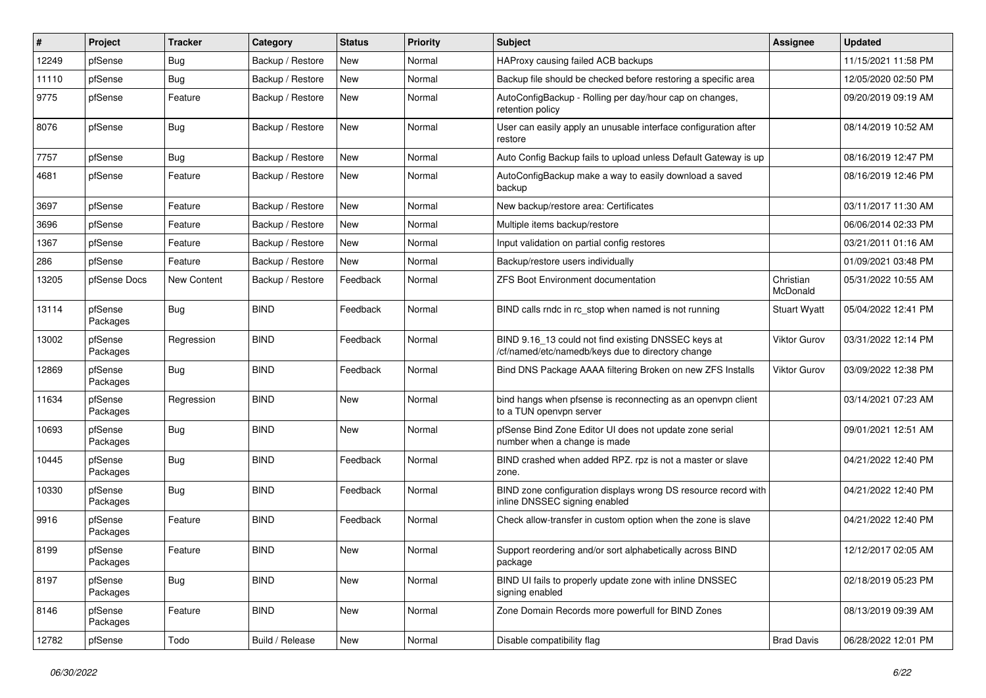| $\vert$ # | Project             | <b>Tracker</b> | Category         | <b>Status</b> | <b>Priority</b> | Subject                                                                                                  | <b>Assignee</b>       | <b>Updated</b>      |
|-----------|---------------------|----------------|------------------|---------------|-----------------|----------------------------------------------------------------------------------------------------------|-----------------------|---------------------|
| 12249     | pfSense             | Bug            | Backup / Restore | New           | Normal          | HAProxy causing failed ACB backups                                                                       |                       | 11/15/2021 11:58 PM |
| 11110     | pfSense             | Bug            | Backup / Restore | <b>New</b>    | Normal          | Backup file should be checked before restoring a specific area                                           |                       | 12/05/2020 02:50 PM |
| 9775      | pfSense             | Feature        | Backup / Restore | New           | Normal          | AutoConfigBackup - Rolling per day/hour cap on changes,<br>retention policy                              |                       | 09/20/2019 09:19 AM |
| 8076      | pfSense             | Bug            | Backup / Restore | <b>New</b>    | Normal          | User can easily apply an unusable interface configuration after<br>restore                               |                       | 08/14/2019 10:52 AM |
| 7757      | pfSense             | <b>Bug</b>     | Backup / Restore | <b>New</b>    | Normal          | Auto Config Backup fails to upload unless Default Gateway is up                                          |                       | 08/16/2019 12:47 PM |
| 4681      | pfSense             | Feature        | Backup / Restore | <b>New</b>    | Normal          | AutoConfigBackup make a way to easily download a saved<br>backup                                         |                       | 08/16/2019 12:46 PM |
| 3697      | pfSense             | Feature        | Backup / Restore | <b>New</b>    | Normal          | New backup/restore area: Certificates                                                                    |                       | 03/11/2017 11:30 AM |
| 3696      | pfSense             | Feature        | Backup / Restore | New           | Normal          | Multiple items backup/restore                                                                            |                       | 06/06/2014 02:33 PM |
| 1367      | pfSense             | Feature        | Backup / Restore | <b>New</b>    | Normal          | Input validation on partial config restores                                                              |                       | 03/21/2011 01:16 AM |
| 286       | pfSense             | Feature        | Backup / Restore | <b>New</b>    | Normal          | Backup/restore users individually                                                                        |                       | 01/09/2021 03:48 PM |
| 13205     | pfSense Docs        | New Content    | Backup / Restore | Feedback      | Normal          | <b>ZFS Boot Environment documentation</b>                                                                | Christian<br>McDonald | 05/31/2022 10:55 AM |
| 13114     | pfSense<br>Packages | Bug            | <b>BIND</b>      | Feedback      | Normal          | BIND calls rndc in rc_stop when named is not running                                                     | <b>Stuart Wyatt</b>   | 05/04/2022 12:41 PM |
| 13002     | pfSense<br>Packages | Regression     | <b>BIND</b>      | Feedback      | Normal          | BIND 9.16 13 could not find existing DNSSEC keys at<br>/cf/named/etc/namedb/keys due to directory change | Viktor Gurov          | 03/31/2022 12:14 PM |
| 12869     | pfSense<br>Packages | <b>Bug</b>     | <b>BIND</b>      | Feedback      | Normal          | Bind DNS Package AAAA filtering Broken on new ZFS Installs                                               | Viktor Gurov          | 03/09/2022 12:38 PM |
| 11634     | pfSense<br>Packages | Regression     | <b>BIND</b>      | <b>New</b>    | Normal          | bind hangs when pfsense is reconnecting as an openvpn client<br>to a TUN openvpn server                  |                       | 03/14/2021 07:23 AM |
| 10693     | pfSense<br>Packages | Bug            | <b>BIND</b>      | <b>New</b>    | Normal          | pfSense Bind Zone Editor UI does not update zone serial<br>number when a change is made                  |                       | 09/01/2021 12:51 AM |
| 10445     | pfSense<br>Packages | <b>Bug</b>     | <b>BIND</b>      | Feedback      | Normal          | BIND crashed when added RPZ. rpz is not a master or slave<br>zone.                                       |                       | 04/21/2022 12:40 PM |
| 10330     | pfSense<br>Packages | <b>Bug</b>     | <b>BIND</b>      | Feedback      | Normal          | BIND zone configuration displays wrong DS resource record with<br>inline DNSSEC signing enabled          |                       | 04/21/2022 12:40 PM |
| 9916      | pfSense<br>Packages | Feature        | <b>BIND</b>      | Feedback      | Normal          | Check allow-transfer in custom option when the zone is slave                                             |                       | 04/21/2022 12:40 PM |
| 8199      | pfSense<br>Packages | Feature        | <b>BIND</b>      | New           | Normal          | Support reordering and/or sort alphabetically across BIND<br>package                                     |                       | 12/12/2017 02:05 AM |
| 8197      | pfSense<br>Packages | <b>Bug</b>     | <b>BIND</b>      | New           | Normal          | BIND UI fails to properly update zone with inline DNSSEC<br>signing enabled                              |                       | 02/18/2019 05:23 PM |
| 8146      | pfSense<br>Packages | Feature        | <b>BIND</b>      | New           | Normal          | Zone Domain Records more powerfull for BIND Zones                                                        |                       | 08/13/2019 09:39 AM |
| 12782     | pfSense             | Todo           | Build / Release  | New           | Normal          | Disable compatibility flag                                                                               | <b>Brad Davis</b>     | 06/28/2022 12:01 PM |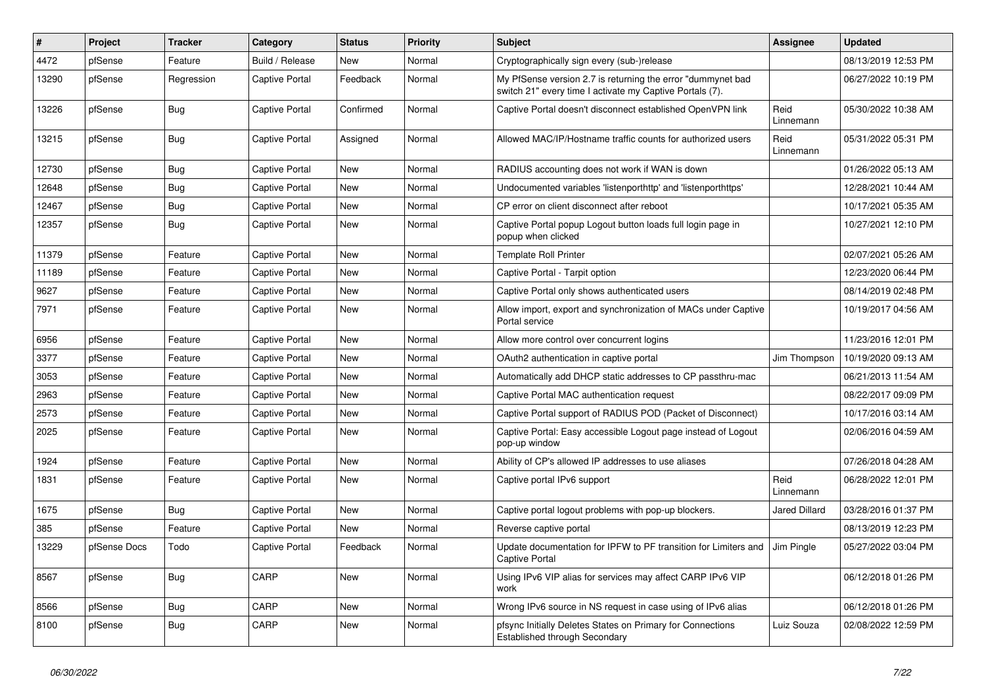| #     | Project      | <b>Tracker</b> | Category              | <b>Status</b> | Priority | <b>Subject</b>                                                                                                          | Assignee          | <b>Updated</b>      |
|-------|--------------|----------------|-----------------------|---------------|----------|-------------------------------------------------------------------------------------------------------------------------|-------------------|---------------------|
| 4472  | pfSense      | Feature        | Build / Release       | <b>New</b>    | Normal   | Cryptographically sign every (sub-)release                                                                              |                   | 08/13/2019 12:53 PM |
| 13290 | pfSense      | Regression     | <b>Captive Portal</b> | Feedback      | Normal   | My PfSense version 2.7 is returning the error "dummynet bad<br>switch 21" every time I activate my Captive Portals (7). |                   | 06/27/2022 10:19 PM |
| 13226 | pfSense      | Bug            | <b>Captive Portal</b> | Confirmed     | Normal   | Captive Portal doesn't disconnect established OpenVPN link                                                              | Reid<br>Linnemann | 05/30/2022 10:38 AM |
| 13215 | pfSense      | <b>Bug</b>     | <b>Captive Portal</b> | Assigned      | Normal   | Allowed MAC/IP/Hostname traffic counts for authorized users                                                             | Reid<br>Linnemann | 05/31/2022 05:31 PM |
| 12730 | pfSense      | Bug            | <b>Captive Portal</b> | <b>New</b>    | Normal   | RADIUS accounting does not work if WAN is down                                                                          |                   | 01/26/2022 05:13 AM |
| 12648 | pfSense      | <b>Bug</b>     | <b>Captive Portal</b> | <b>New</b>    | Normal   | Undocumented variables 'listenporthttp' and 'listenporthttps'                                                           |                   | 12/28/2021 10:44 AM |
| 12467 | pfSense      | Bug            | <b>Captive Portal</b> | <b>New</b>    | Normal   | CP error on client disconnect after reboot                                                                              |                   | 10/17/2021 05:35 AM |
| 12357 | pfSense      | Bug            | <b>Captive Portal</b> | New           | Normal   | Captive Portal popup Logout button loads full login page in<br>popup when clicked                                       |                   | 10/27/2021 12:10 PM |
| 11379 | pfSense      | Feature        | <b>Captive Portal</b> | New           | Normal   | <b>Template Roll Printer</b>                                                                                            |                   | 02/07/2021 05:26 AM |
| 11189 | pfSense      | Feature        | <b>Captive Portal</b> | New           | Normal   | Captive Portal - Tarpit option                                                                                          |                   | 12/23/2020 06:44 PM |
| 9627  | pfSense      | Feature        | <b>Captive Portal</b> | New           | Normal   | Captive Portal only shows authenticated users                                                                           |                   | 08/14/2019 02:48 PM |
| 7971  | pfSense      | Feature        | Captive Portal        | New           | Normal   | Allow import, export and synchronization of MACs under Captive<br>Portal service                                        |                   | 10/19/2017 04:56 AM |
| 6956  | pfSense      | Feature        | <b>Captive Portal</b> | <b>New</b>    | Normal   | Allow more control over concurrent logins                                                                               |                   | 11/23/2016 12:01 PM |
| 3377  | pfSense      | Feature        | <b>Captive Portal</b> | New           | Normal   | OAuth2 authentication in captive portal                                                                                 | Jim Thompson      | 10/19/2020 09:13 AM |
| 3053  | pfSense      | Feature        | <b>Captive Portal</b> | <b>New</b>    | Normal   | Automatically add DHCP static addresses to CP passthru-mac                                                              |                   | 06/21/2013 11:54 AM |
| 2963  | pfSense      | Feature        | <b>Captive Portal</b> | <b>New</b>    | Normal   | Captive Portal MAC authentication request                                                                               |                   | 08/22/2017 09:09 PM |
| 2573  | pfSense      | Feature        | <b>Captive Portal</b> | <b>New</b>    | Normal   | Captive Portal support of RADIUS POD (Packet of Disconnect)                                                             |                   | 10/17/2016 03:14 AM |
| 2025  | pfSense      | Feature        | <b>Captive Portal</b> | New           | Normal   | Captive Portal: Easy accessible Logout page instead of Logout<br>pop-up window                                          |                   | 02/06/2016 04:59 AM |
| 1924  | pfSense      | Feature        | Captive Portal        | <b>New</b>    | Normal   | Ability of CP's allowed IP addresses to use aliases                                                                     |                   | 07/26/2018 04:28 AM |
| 1831  | pfSense      | Feature        | Captive Portal        | New           | Normal   | Captive portal IPv6 support                                                                                             | Reid<br>Linnemann | 06/28/2022 12:01 PM |
| 1675  | pfSense      | Bug            | Captive Portal        | <b>New</b>    | Normal   | Captive portal logout problems with pop-up blockers.                                                                    | Jared Dillard     | 03/28/2016 01:37 PM |
| 385   | pfSense      | Feature        | <b>Captive Portal</b> | <b>New</b>    | Normal   | Reverse captive portal                                                                                                  |                   | 08/13/2019 12:23 PM |
| 13229 | pfSense Docs | Todo           | <b>Captive Portal</b> | Feedback      | Normal   | Update documentation for IPFW to PF transition for Limiters and<br><b>Captive Portal</b>                                | Jim Pingle        | 05/27/2022 03:04 PM |
| 8567  | pfSense      | <b>Bug</b>     | CARP                  | New           | Normal   | Using IPv6 VIP alias for services may affect CARP IPv6 VIP<br>work                                                      |                   | 06/12/2018 01:26 PM |
| 8566  | pfSense      | <b>Bug</b>     | CARP                  | <b>New</b>    | Normal   | Wrong IPv6 source in NS request in case using of IPv6 alias                                                             |                   | 06/12/2018 01:26 PM |
| 8100  | pfSense      | Bug            | CARP                  | <b>New</b>    | Normal   | pfsync Initially Deletes States on Primary for Connections<br>Established through Secondary                             | Luiz Souza        | 02/08/2022 12:59 PM |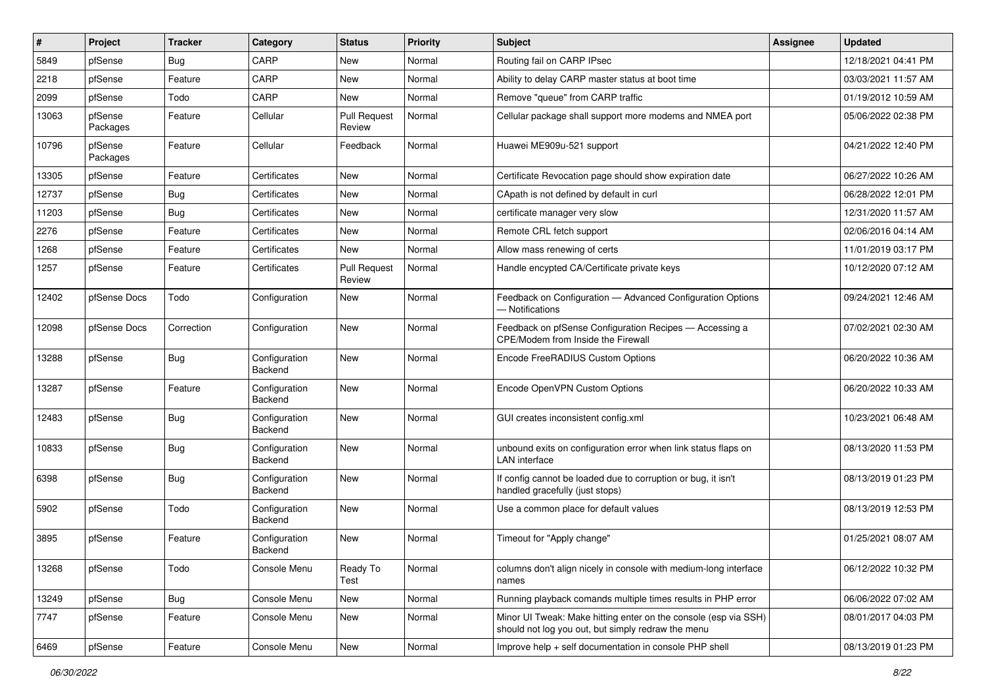| $\vert$ # | Project             | <b>Tracker</b> | Category                 | <b>Status</b>                 | <b>Priority</b> | <b>Subject</b>                                                                                                        | <b>Assignee</b> | <b>Updated</b>      |
|-----------|---------------------|----------------|--------------------------|-------------------------------|-----------------|-----------------------------------------------------------------------------------------------------------------------|-----------------|---------------------|
| 5849      | pfSense             | Bug            | CARP                     | New                           | Normal          | Routing fail on CARP IPsec                                                                                            |                 | 12/18/2021 04:41 PM |
| 2218      | pfSense             | Feature        | CARP                     | <b>New</b>                    | Normal          | Ability to delay CARP master status at boot time                                                                      |                 | 03/03/2021 11:57 AM |
| 2099      | pfSense             | Todo           | CARP                     | New                           | Normal          | Remove "queue" from CARP traffic                                                                                      |                 | 01/19/2012 10:59 AM |
| 13063     | pfSense<br>Packages | Feature        | Cellular                 | <b>Pull Request</b><br>Review | Normal          | Cellular package shall support more modems and NMEA port                                                              |                 | 05/06/2022 02:38 PM |
| 10796     | pfSense<br>Packages | Feature        | Cellular                 | Feedback                      | Normal          | Huawei ME909u-521 support                                                                                             |                 | 04/21/2022 12:40 PM |
| 13305     | pfSense             | Feature        | Certificates             | <b>New</b>                    | Normal          | Certificate Revocation page should show expiration date                                                               |                 | 06/27/2022 10:26 AM |
| 12737     | pfSense             | Bug            | Certificates             | New                           | Normal          | CApath is not defined by default in curl                                                                              |                 | 06/28/2022 12:01 PM |
| 11203     | pfSense             | Bug            | Certificates             | <b>New</b>                    | Normal          | certificate manager very slow                                                                                         |                 | 12/31/2020 11:57 AM |
| 2276      | pfSense             | Feature        | Certificates             | New                           | Normal          | Remote CRL fetch support                                                                                              |                 | 02/06/2016 04:14 AM |
| 1268      | pfSense             | Feature        | Certificates             | New                           | Normal          | Allow mass renewing of certs                                                                                          |                 | 11/01/2019 03:17 PM |
| 1257      | pfSense             | Feature        | Certificates             | <b>Pull Request</b><br>Review | Normal          | Handle encypted CA/Certificate private keys                                                                           |                 | 10/12/2020 07:12 AM |
| 12402     | pfSense Docs        | Todo           | Configuration            | New                           | Normal          | Feedback on Configuration - Advanced Configuration Options<br>- Notifications                                         |                 | 09/24/2021 12:46 AM |
| 12098     | pfSense Docs        | Correction     | Configuration            | New                           | Normal          | Feedback on pfSense Configuration Recipes - Accessing a<br>CPE/Modem from Inside the Firewall                         |                 | 07/02/2021 02:30 AM |
| 13288     | pfSense             | Bug            | Configuration<br>Backend | New                           | Normal          | Encode FreeRADIUS Custom Options                                                                                      |                 | 06/20/2022 10:36 AM |
| 13287     | pfSense             | Feature        | Configuration<br>Backend | <b>New</b>                    | Normal          | Encode OpenVPN Custom Options                                                                                         |                 | 06/20/2022 10:33 AM |
| 12483     | pfSense             | <b>Bug</b>     | Configuration<br>Backend | New                           | Normal          | GUI creates inconsistent config.xml                                                                                   |                 | 10/23/2021 06:48 AM |
| 10833     | pfSense             | <b>Bug</b>     | Configuration<br>Backend | <b>New</b>                    | Normal          | unbound exits on configuration error when link status flaps on<br>LAN interface                                       |                 | 08/13/2020 11:53 PM |
| 6398      | pfSense             | Bug            | Configuration<br>Backend | New                           | Normal          | If config cannot be loaded due to corruption or bug, it isn't<br>handled gracefully (just stops)                      |                 | 08/13/2019 01:23 PM |
| 5902      | pfSense             | Todo           | Configuration<br>Backend | New                           | Normal          | Use a common place for default values                                                                                 |                 | 08/13/2019 12:53 PM |
| 3895      | pfSense             | Feature        | Configuration<br>Backend | <b>New</b>                    | Normal          | Timeout for "Apply change"                                                                                            |                 | 01/25/2021 08:07 AM |
| 13268     | pfSense             | Todo           | Console Menu             | Ready To<br>Test              | Normal          | columns don't align nicely in console with medium-long interface<br>names                                             |                 | 06/12/2022 10:32 PM |
| 13249     | pfSense             | <b>Bug</b>     | Console Menu             | New                           | Normal          | Running playback comands multiple times results in PHP error                                                          |                 | 06/06/2022 07:02 AM |
| 7747      | pfSense             | Feature        | Console Menu             | New                           | Normal          | Minor UI Tweak: Make hitting enter on the console (esp via SSH)<br>should not log you out, but simply redraw the menu |                 | 08/01/2017 04:03 PM |
| 6469      | pfSense             | Feature        | Console Menu             | New                           | Normal          | Improve help + self documentation in console PHP shell                                                                |                 | 08/13/2019 01:23 PM |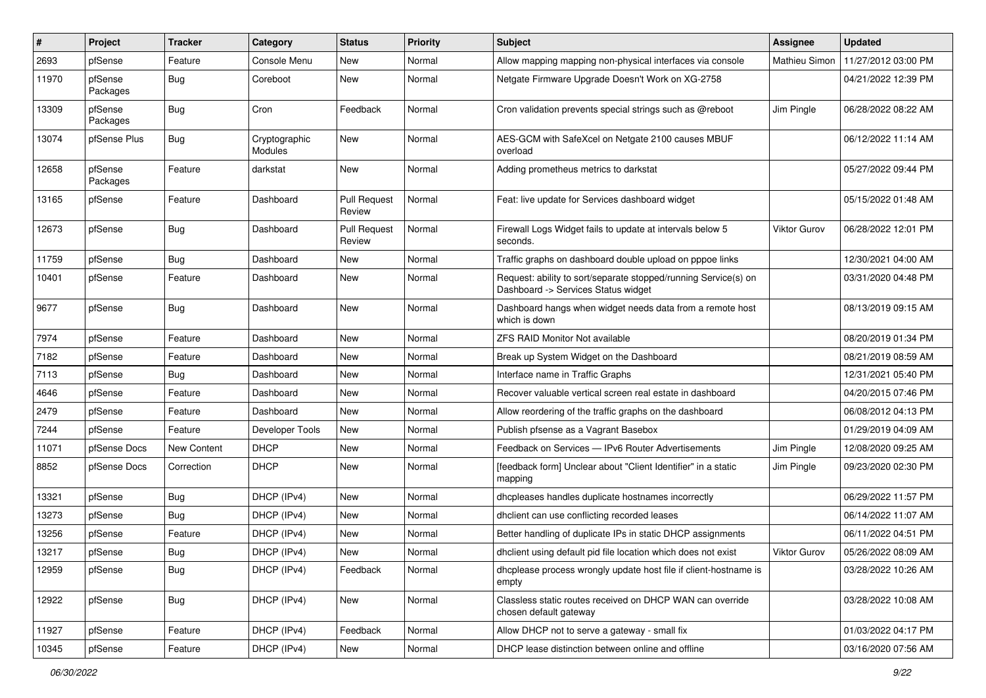| $\#$  | Project             | <b>Tracker</b>     | Category                 | <b>Status</b>                 | <b>Priority</b> | <b>Subject</b>                                                                                         | <b>Assignee</b>     | <b>Updated</b>      |
|-------|---------------------|--------------------|--------------------------|-------------------------------|-----------------|--------------------------------------------------------------------------------------------------------|---------------------|---------------------|
| 2693  | pfSense             | Feature            | Console Menu             | New                           | Normal          | Allow mapping mapping non-physical interfaces via console                                              | Mathieu Simon       | 11/27/2012 03:00 PM |
| 11970 | pfSense<br>Packages | <b>Bug</b>         | Coreboot                 | New                           | Normal          | Netgate Firmware Upgrade Doesn't Work on XG-2758                                                       |                     | 04/21/2022 12:39 PM |
| 13309 | pfSense<br>Packages | <b>Bug</b>         | Cron                     | Feedback                      | Normal          | Cron validation prevents special strings such as @reboot                                               | Jim Pingle          | 06/28/2022 08:22 AM |
| 13074 | pfSense Plus        | Bug                | Cryptographic<br>Modules | New                           | Normal          | AES-GCM with SafeXcel on Netgate 2100 causes MBUF<br>overload                                          |                     | 06/12/2022 11:14 AM |
| 12658 | pfSense<br>Packages | Feature            | darkstat                 | New                           | Normal          | Adding prometheus metrics to darkstat                                                                  |                     | 05/27/2022 09:44 PM |
| 13165 | pfSense             | Feature            | Dashboard                | <b>Pull Request</b><br>Review | Normal          | Feat: live update for Services dashboard widget                                                        |                     | 05/15/2022 01:48 AM |
| 12673 | pfSense             | <b>Bug</b>         | Dashboard                | <b>Pull Request</b><br>Review | Normal          | Firewall Logs Widget fails to update at intervals below 5<br>seconds.                                  | Viktor Gurov        | 06/28/2022 12:01 PM |
| 11759 | pfSense             | <b>Bug</b>         | Dashboard                | New                           | Normal          | Traffic graphs on dashboard double upload on pppoe links                                               |                     | 12/30/2021 04:00 AM |
| 10401 | pfSense             | Feature            | Dashboard                | New                           | Normal          | Request: ability to sort/separate stopped/running Service(s) on<br>Dashboard -> Services Status widget |                     | 03/31/2020 04:48 PM |
| 9677  | pfSense             | <b>Bug</b>         | Dashboard                | New                           | Normal          | Dashboard hangs when widget needs data from a remote host<br>which is down                             |                     | 08/13/2019 09:15 AM |
| 7974  | pfSense             | Feature            | Dashboard                | New                           | Normal          | <b>ZFS RAID Monitor Not available</b>                                                                  |                     | 08/20/2019 01:34 PM |
| 7182  | pfSense             | Feature            | Dashboard                | New                           | Normal          | Break up System Widget on the Dashboard                                                                |                     | 08/21/2019 08:59 AM |
| 7113  | pfSense             | <b>Bug</b>         | Dashboard                | New                           | Normal          | Interface name in Traffic Graphs                                                                       |                     | 12/31/2021 05:40 PM |
| 4646  | pfSense             | Feature            | Dashboard                | <b>New</b>                    | Normal          | Recover valuable vertical screen real estate in dashboard                                              |                     | 04/20/2015 07:46 PM |
| 2479  | pfSense             | Feature            | Dashboard                | <b>New</b>                    | Normal          | Allow reordering of the traffic graphs on the dashboard                                                |                     | 06/08/2012 04:13 PM |
| 7244  | pfSense             | Feature            | Developer Tools          | New                           | Normal          | Publish pfsense as a Vagrant Basebox                                                                   |                     | 01/29/2019 04:09 AM |
| 11071 | pfSense Docs        | <b>New Content</b> | <b>DHCP</b>              | New                           | Normal          | Feedback on Services - IPv6 Router Advertisements                                                      | Jim Pingle          | 12/08/2020 09:25 AM |
| 8852  | pfSense Docs        | Correction         | <b>DHCP</b>              | New                           | Normal          | [feedback form] Unclear about "Client Identifier" in a static<br>mapping                               | Jim Pingle          | 09/23/2020 02:30 PM |
| 13321 | pfSense             | Bug                | DHCP (IPv4)              | <b>New</b>                    | Normal          | dhcpleases handles duplicate hostnames incorrectly                                                     |                     | 06/29/2022 11:57 PM |
| 13273 | pfSense             | <b>Bug</b>         | DHCP (IPv4)              | New                           | Normal          | dhclient can use conflicting recorded leases                                                           |                     | 06/14/2022 11:07 AM |
| 13256 | pfSense             | Feature            | DHCP (IPv4)              | New                           | Normal          | Better handling of duplicate IPs in static DHCP assignments                                            |                     | 06/11/2022 04:51 PM |
| 13217 | pfSense             | Bug                | DHCP (IPv4)              | <b>New</b>                    | Normal          | dholient using default pid file location which does not exist                                          | <b>Viktor Gurov</b> | 05/26/2022 08:09 AM |
| 12959 | pfSense             | <b>Bug</b>         | DHCP (IPv4)              | Feedback                      | Normal          | dhcplease process wrongly update host file if client-hostname is<br>empty                              |                     | 03/28/2022 10:26 AM |
| 12922 | pfSense             | <b>Bug</b>         | DHCP (IPv4)              | New                           | Normal          | Classless static routes received on DHCP WAN can override<br>chosen default gateway                    |                     | 03/28/2022 10:08 AM |
| 11927 | pfSense             | Feature            | DHCP (IPv4)              | Feedback                      | Normal          | Allow DHCP not to serve a gateway - small fix                                                          |                     | 01/03/2022 04:17 PM |
| 10345 | pfSense             | Feature            | DHCP (IPv4)              | New                           | Normal          | DHCP lease distinction between online and offline                                                      |                     | 03/16/2020 07:56 AM |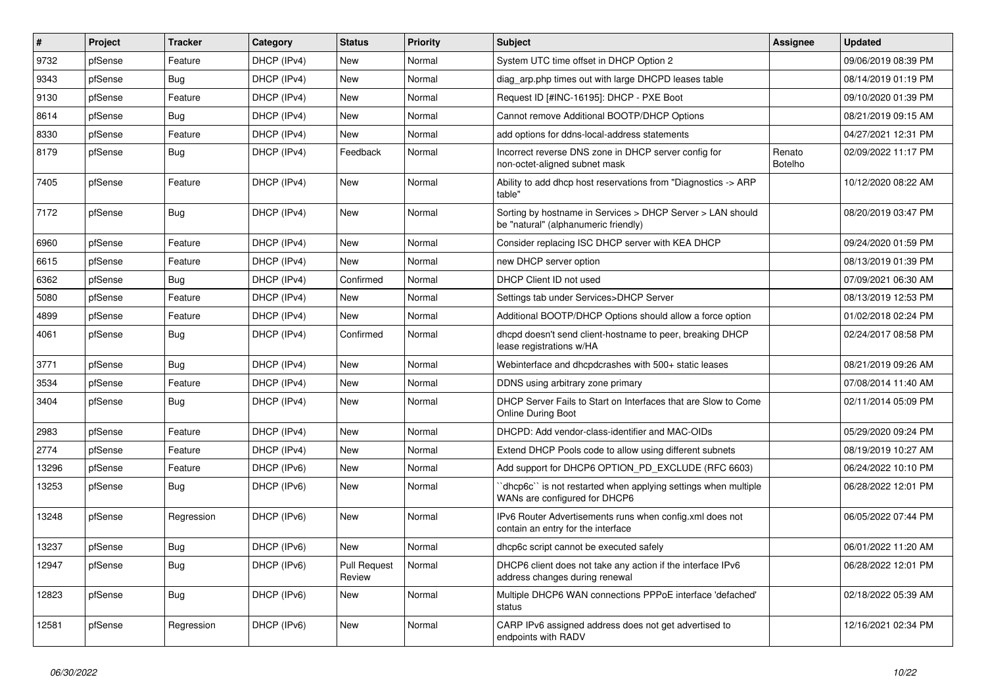| $\vert$ # | Project | <b>Tracker</b> | Category    | <b>Status</b>                 | <b>Priority</b> | <b>Subject</b>                                                                                     | <b>Assignee</b>          | <b>Updated</b>      |
|-----------|---------|----------------|-------------|-------------------------------|-----------------|----------------------------------------------------------------------------------------------------|--------------------------|---------------------|
| 9732      | pfSense | Feature        | DHCP (IPv4) | New                           | Normal          | System UTC time offset in DHCP Option 2                                                            |                          | 09/06/2019 08:39 PM |
| 9343      | pfSense | Bug            | DHCP (IPv4) | <b>New</b>                    | Normal          | diag arp.php times out with large DHCPD leases table                                               |                          | 08/14/2019 01:19 PM |
| 9130      | pfSense | Feature        | DHCP (IPv4) | <b>New</b>                    | Normal          | Request ID [#INC-16195]: DHCP - PXE Boot                                                           |                          | 09/10/2020 01:39 PM |
| 8614      | pfSense | Bug            | DHCP (IPv4) | <b>New</b>                    | Normal          | Cannot remove Additional BOOTP/DHCP Options                                                        |                          | 08/21/2019 09:15 AM |
| 8330      | pfSense | Feature        | DHCP (IPv4) | <b>New</b>                    | Normal          | add options for ddns-local-address statements                                                      |                          | 04/27/2021 12:31 PM |
| 8179      | pfSense | Bug            | DHCP (IPv4) | Feedback                      | Normal          | Incorrect reverse DNS zone in DHCP server config for<br>non-octet-aligned subnet mask              | Renato<br><b>Botelho</b> | 02/09/2022 11:17 PM |
| 7405      | pfSense | Feature        | DHCP (IPv4) | New                           | Normal          | Ability to add dhcp host reservations from "Diagnostics -> ARP<br>table"                           |                          | 10/12/2020 08:22 AM |
| 7172      | pfSense | <b>Bug</b>     | DHCP (IPv4) | <b>New</b>                    | Normal          | Sorting by hostname in Services > DHCP Server > LAN should<br>be "natural" (alphanumeric friendly) |                          | 08/20/2019 03:47 PM |
| 6960      | pfSense | Feature        | DHCP (IPv4) | <b>New</b>                    | Normal          | Consider replacing ISC DHCP server with KEA DHCP                                                   |                          | 09/24/2020 01:59 PM |
| 6615      | pfSense | Feature        | DHCP (IPv4) | <b>New</b>                    | Normal          | new DHCP server option                                                                             |                          | 08/13/2019 01:39 PM |
| 6362      | pfSense | Bug            | DHCP (IPv4) | Confirmed                     | Normal          | DHCP Client ID not used                                                                            |                          | 07/09/2021 06:30 AM |
| 5080      | pfSense | Feature        | DHCP (IPv4) | New                           | Normal          | Settings tab under Services>DHCP Server                                                            |                          | 08/13/2019 12:53 PM |
| 4899      | pfSense | Feature        | DHCP (IPv4) | <b>New</b>                    | Normal          | Additional BOOTP/DHCP Options should allow a force option                                          |                          | 01/02/2018 02:24 PM |
| 4061      | pfSense | <b>Bug</b>     | DHCP (IPv4) | Confirmed                     | Normal          | dhcpd doesn't send client-hostname to peer, breaking DHCP<br>lease registrations w/HA              |                          | 02/24/2017 08:58 PM |
| 3771      | pfSense | <b>Bug</b>     | DHCP (IPv4) | <b>New</b>                    | Normal          | Webinterface and dhcpdcrashes with 500+ static leases                                              |                          | 08/21/2019 09:26 AM |
| 3534      | pfSense | Feature        | DHCP (IPv4) | <b>New</b>                    | Normal          | DDNS using arbitrary zone primary                                                                  |                          | 07/08/2014 11:40 AM |
| 3404      | pfSense | Bug            | DHCP (IPv4) | New                           | Normal          | DHCP Server Fails to Start on Interfaces that are Slow to Come<br><b>Online During Boot</b>        |                          | 02/11/2014 05:09 PM |
| 2983      | pfSense | Feature        | DHCP (IPv4) | New                           | Normal          | DHCPD: Add vendor-class-identifier and MAC-OIDs                                                    |                          | 05/29/2020 09:24 PM |
| 2774      | pfSense | Feature        | DHCP (IPv4) | New                           | Normal          | Extend DHCP Pools code to allow using different subnets                                            |                          | 08/19/2019 10:27 AM |
| 13296     | pfSense | Feature        | DHCP (IPv6) | <b>New</b>                    | Normal          | Add support for DHCP6 OPTION PD EXCLUDE (RFC 6603)                                                 |                          | 06/24/2022 10:10 PM |
| 13253     | pfSense | <b>Bug</b>     | DHCP (IPv6) | <b>New</b>                    | Normal          | `dhcp6c`` is not restarted when applying settings when multiple<br>WANs are configured for DHCP6   |                          | 06/28/2022 12:01 PM |
| 13248     | pfSense | Regression     | DHCP (IPv6) | <b>New</b>                    | Normal          | IPv6 Router Advertisements runs when config.xml does not<br>contain an entry for the interface     |                          | 06/05/2022 07:44 PM |
| 13237     | pfSense | <b>Bug</b>     | DHCP (IPv6) | New                           | Normal          | dhcp6c script cannot be executed safely                                                            |                          | 06/01/2022 11:20 AM |
| 12947     | pfSense | Bug            | DHCP (IPv6) | <b>Pull Request</b><br>Review | Normal          | DHCP6 client does not take any action if the interface IPv6<br>address changes during renewal      |                          | 06/28/2022 12:01 PM |
| 12823     | pfSense | Bug            | DHCP (IPv6) | New                           | Normal          | Multiple DHCP6 WAN connections PPPoE interface 'defached'<br>status                                |                          | 02/18/2022 05:39 AM |
| 12581     | pfSense | Regression     | DHCP (IPv6) | <b>New</b>                    | Normal          | CARP IPv6 assigned address does not get advertised to<br>endpoints with RADV                       |                          | 12/16/2021 02:34 PM |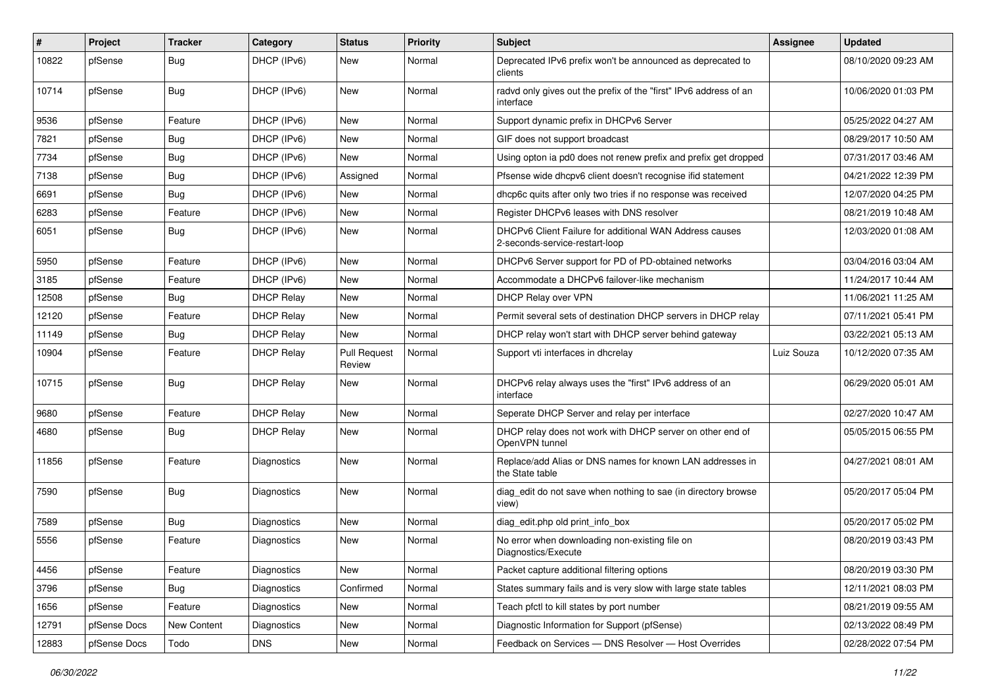| #     | Project      | <b>Tracker</b> | Category           | <b>Status</b>                 | <b>Priority</b> | <b>Subject</b>                                                                            | Assignee   | <b>Updated</b>      |
|-------|--------------|----------------|--------------------|-------------------------------|-----------------|-------------------------------------------------------------------------------------------|------------|---------------------|
| 10822 | pfSense      | <b>Bug</b>     | DHCP (IPv6)        | New                           | Normal          | Deprecated IPv6 prefix won't be announced as deprecated to<br>clients                     |            | 08/10/2020 09:23 AM |
| 10714 | pfSense      | <b>Bug</b>     | DHCP (IPv6)        | <b>New</b>                    | Normal          | radvd only gives out the prefix of the "first" IPv6 address of an<br>interface            |            | 10/06/2020 01:03 PM |
| 9536  | pfSense      | Feature        | DHCP (IPv6)        | New                           | Normal          | Support dynamic prefix in DHCPv6 Server                                                   |            | 05/25/2022 04:27 AM |
| 7821  | pfSense      | <b>Bug</b>     | DHCP (IPv6)        | New                           | Normal          | GIF does not support broadcast                                                            |            | 08/29/2017 10:50 AM |
| 7734  | pfSense      | <b>Bug</b>     | DHCP (IPv6)        | New                           | Normal          | Using opton ia pd0 does not renew prefix and prefix get dropped                           |            | 07/31/2017 03:46 AM |
| 7138  | pfSense      | Bug            | DHCP (IPv6)        | Assigned                      | Normal          | Pfsense wide dhcpv6 client doesn't recognise ifid statement                               |            | 04/21/2022 12:39 PM |
| 6691  | pfSense      | <b>Bug</b>     | DHCP (IPv6)        | New                           | Normal          | dhcp6c quits after only two tries if no response was received                             |            | 12/07/2020 04:25 PM |
| 6283  | pfSense      | Feature        | DHCP (IPv6)        | New                           | Normal          | Register DHCPv6 leases with DNS resolver                                                  |            | 08/21/2019 10:48 AM |
| 6051  | pfSense      | <b>Bug</b>     | DHCP (IPv6)        | New                           | Normal          | DHCPv6 Client Failure for additional WAN Address causes<br>2-seconds-service-restart-loop |            | 12/03/2020 01:08 AM |
| 5950  | pfSense      | Feature        | DHCP (IPv6)        | New                           | Normal          | DHCPv6 Server support for PD of PD-obtained networks                                      |            | 03/04/2016 03:04 AM |
| 3185  | pfSense      | Feature        | DHCP (IPv6)        | New                           | Normal          | Accommodate a DHCPv6 failover-like mechanism                                              |            | 11/24/2017 10:44 AM |
| 12508 | pfSense      | <b>Bug</b>     | <b>DHCP Relay</b>  | New                           | Normal          | DHCP Relay over VPN                                                                       |            | 11/06/2021 11:25 AM |
| 12120 | pfSense      | Feature        | <b>DHCP Relay</b>  | New                           | Normal          | Permit several sets of destination DHCP servers in DHCP relay                             |            | 07/11/2021 05:41 PM |
| 11149 | pfSense      | <b>Bug</b>     | <b>DHCP Relay</b>  | New                           | Normal          | DHCP relay won't start with DHCP server behind gateway                                    |            | 03/22/2021 05:13 AM |
| 10904 | pfSense      | Feature        | <b>DHCP Relay</b>  | <b>Pull Request</b><br>Review | Normal          | Support vti interfaces in dhcrelay                                                        | Luiz Souza | 10/12/2020 07:35 AM |
| 10715 | pfSense      | <b>Bug</b>     | <b>DHCP Relay</b>  | New                           | Normal          | DHCPv6 relay always uses the "first" IPv6 address of an<br>interface                      |            | 06/29/2020 05:01 AM |
| 9680  | pfSense      | Feature        | <b>DHCP Relay</b>  | New                           | Normal          | Seperate DHCP Server and relay per interface                                              |            | 02/27/2020 10:47 AM |
| 4680  | pfSense      | <b>Bug</b>     | <b>DHCP Relay</b>  | New                           | Normal          | DHCP relay does not work with DHCP server on other end of<br>OpenVPN tunnel               |            | 05/05/2015 06:55 PM |
| 11856 | pfSense      | Feature        | Diagnostics        | New                           | Normal          | Replace/add Alias or DNS names for known LAN addresses in<br>the State table              |            | 04/27/2021 08:01 AM |
| 7590  | pfSense      | <b>Bug</b>     | Diagnostics        | New                           | Normal          | diag_edit do not save when nothing to sae (in directory browse<br>view)                   |            | 05/20/2017 05:04 PM |
| 7589  | pfSense      | <b>Bug</b>     | <b>Diagnostics</b> | New                           | Normal          | diag_edit.php old print_info_box                                                          |            | 05/20/2017 05:02 PM |
| 5556  | pfSense      | Feature        | Diagnostics        | New                           | Normal          | No error when downloading non-existing file on<br>Diagnostics/Execute                     |            | 08/20/2019 03:43 PM |
| 4456  | pfSense      | Feature        | Diagnostics        | New                           | Normal          | Packet capture additional filtering options                                               |            | 08/20/2019 03:30 PM |
| 3796  | pfSense      | <b>Bug</b>     | Diagnostics        | Confirmed                     | Normal          | States summary fails and is very slow with large state tables                             |            | 12/11/2021 08:03 PM |
| 1656  | pfSense      | Feature        | Diagnostics        | New                           | Normal          | Teach pfctl to kill states by port number                                                 |            | 08/21/2019 09:55 AM |
| 12791 | pfSense Docs | New Content    | Diagnostics        | New                           | Normal          | Diagnostic Information for Support (pfSense)                                              |            | 02/13/2022 08:49 PM |
| 12883 | pfSense Docs | Todo           | <b>DNS</b>         | New                           | Normal          | Feedback on Services - DNS Resolver - Host Overrides                                      |            | 02/28/2022 07:54 PM |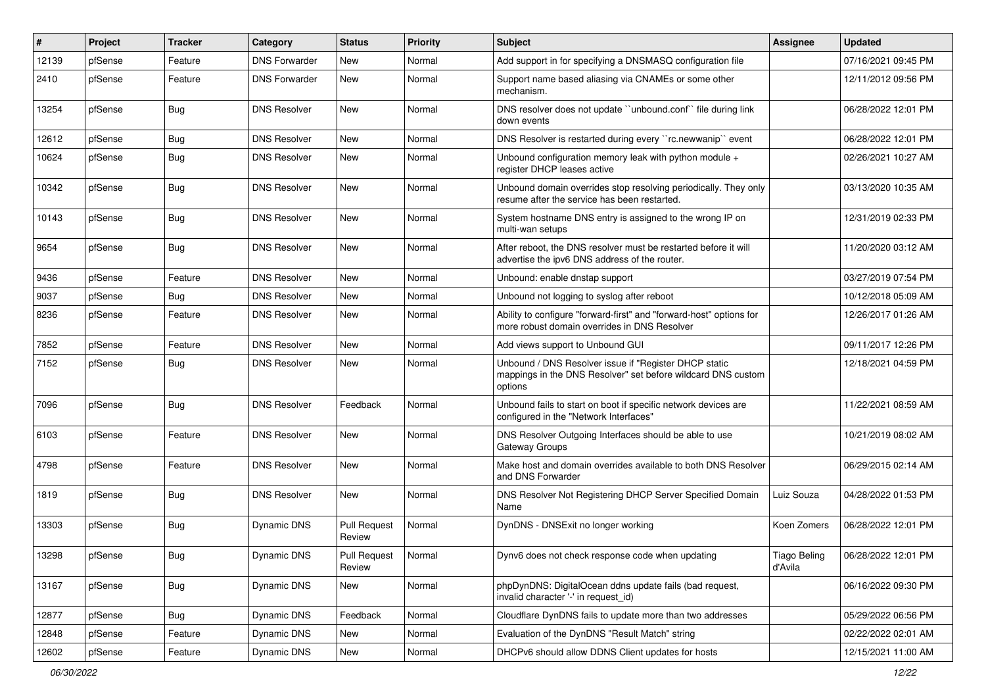| #     | Project | <b>Tracker</b> | Category             | <b>Status</b>                 | <b>Priority</b> | <b>Subject</b>                                                                                                                   | <b>Assignee</b>         | <b>Updated</b>      |
|-------|---------|----------------|----------------------|-------------------------------|-----------------|----------------------------------------------------------------------------------------------------------------------------------|-------------------------|---------------------|
| 12139 | pfSense | Feature        | <b>DNS Forwarder</b> | New                           | Normal          | Add support in for specifying a DNSMASQ configuration file                                                                       |                         | 07/16/2021 09:45 PM |
| 2410  | pfSense | Feature        | <b>DNS Forwarder</b> | New                           | Normal          | Support name based aliasing via CNAMEs or some other<br>mechanism.                                                               |                         | 12/11/2012 09:56 PM |
| 13254 | pfSense | <b>Bug</b>     | <b>DNS Resolver</b>  | New                           | Normal          | DNS resolver does not update "unbound.conf" file during link<br>down events                                                      |                         | 06/28/2022 12:01 PM |
| 12612 | pfSense | Bug            | <b>DNS Resolver</b>  | <b>New</b>                    | Normal          | DNS Resolver is restarted during every "rc.newwanip" event                                                                       |                         | 06/28/2022 12:01 PM |
| 10624 | pfSense | <b>Bug</b>     | <b>DNS Resolver</b>  | New                           | Normal          | Unbound configuration memory leak with python module +<br>register DHCP leases active                                            |                         | 02/26/2021 10:27 AM |
| 10342 | pfSense | <b>Bug</b>     | <b>DNS Resolver</b>  | New                           | Normal          | Unbound domain overrides stop resolving periodically. They only<br>resume after the service has been restarted.                  |                         | 03/13/2020 10:35 AM |
| 10143 | pfSense | Bug            | <b>DNS Resolver</b>  | New                           | Normal          | System hostname DNS entry is assigned to the wrong IP on<br>multi-wan setups                                                     |                         | 12/31/2019 02:33 PM |
| 9654  | pfSense | Bug            | <b>DNS Resolver</b>  | <b>New</b>                    | Normal          | After reboot, the DNS resolver must be restarted before it will<br>advertise the ipv6 DNS address of the router.                 |                         | 11/20/2020 03:12 AM |
| 9436  | pfSense | Feature        | <b>DNS Resolver</b>  | New                           | Normal          | Unbound: enable dnstap support                                                                                                   |                         | 03/27/2019 07:54 PM |
| 9037  | pfSense | Bug            | <b>DNS Resolver</b>  | New                           | Normal          | Unbound not logging to syslog after reboot                                                                                       |                         | 10/12/2018 05:09 AM |
| 8236  | pfSense | Feature        | <b>DNS Resolver</b>  | New                           | Normal          | Ability to configure "forward-first" and "forward-host" options for<br>more robust domain overrides in DNS Resolver              |                         | 12/26/2017 01:26 AM |
| 7852  | pfSense | Feature        | <b>DNS Resolver</b>  | <b>New</b>                    | Normal          | Add views support to Unbound GUI                                                                                                 |                         | 09/11/2017 12:26 PM |
| 7152  | pfSense | Bug            | <b>DNS Resolver</b>  | New                           | Normal          | Unbound / DNS Resolver issue if "Register DHCP static<br>mappings in the DNS Resolver" set before wildcard DNS custom<br>options |                         | 12/18/2021 04:59 PM |
| 7096  | pfSense | <b>Bug</b>     | <b>DNS Resolver</b>  | Feedback                      | Normal          | Unbound fails to start on boot if specific network devices are<br>configured in the "Network Interfaces"                         |                         | 11/22/2021 08:59 AM |
| 6103  | pfSense | Feature        | <b>DNS Resolver</b>  | <b>New</b>                    | Normal          | DNS Resolver Outgoing Interfaces should be able to use<br>Gateway Groups                                                         |                         | 10/21/2019 08:02 AM |
| 4798  | pfSense | Feature        | <b>DNS Resolver</b>  | <b>New</b>                    | Normal          | Make host and domain overrides available to both DNS Resolver<br>and DNS Forwarder                                               |                         | 06/29/2015 02:14 AM |
| 1819  | pfSense | <b>Bug</b>     | <b>DNS Resolver</b>  | New                           | Normal          | DNS Resolver Not Registering DHCP Server Specified Domain<br>Name                                                                | Luiz Souza              | 04/28/2022 01:53 PM |
| 13303 | pfSense | <b>Bug</b>     | Dynamic DNS          | <b>Pull Request</b><br>Review | Normal          | DynDNS - DNSExit no longer working                                                                                               | Koen Zomers             | 06/28/2022 12:01 PM |
| 13298 | pfSense | <b>Bug</b>     | Dynamic DNS          | Pull Request<br>Review        | Normal          | Dynv6 does not check response code when updating                                                                                 | Tiago Beling<br>d'Avila | 06/28/2022 12:01 PM |
| 13167 | pfSense | <b>Bug</b>     | Dynamic DNS          | New                           | Normal          | phpDynDNS: DigitalOcean ddns update fails (bad request,<br>invalid character '-' in request id)                                  |                         | 06/16/2022 09:30 PM |
| 12877 | pfSense | <b>Bug</b>     | Dynamic DNS          | Feedback                      | Normal          | Cloudflare DynDNS fails to update more than two addresses                                                                        |                         | 05/29/2022 06:56 PM |
| 12848 | pfSense | Feature        | Dynamic DNS          | New                           | Normal          | Evaluation of the DynDNS "Result Match" string                                                                                   |                         | 02/22/2022 02:01 AM |
| 12602 | pfSense | Feature        | Dynamic DNS          | New                           | Normal          | DHCPv6 should allow DDNS Client updates for hosts                                                                                |                         | 12/15/2021 11:00 AM |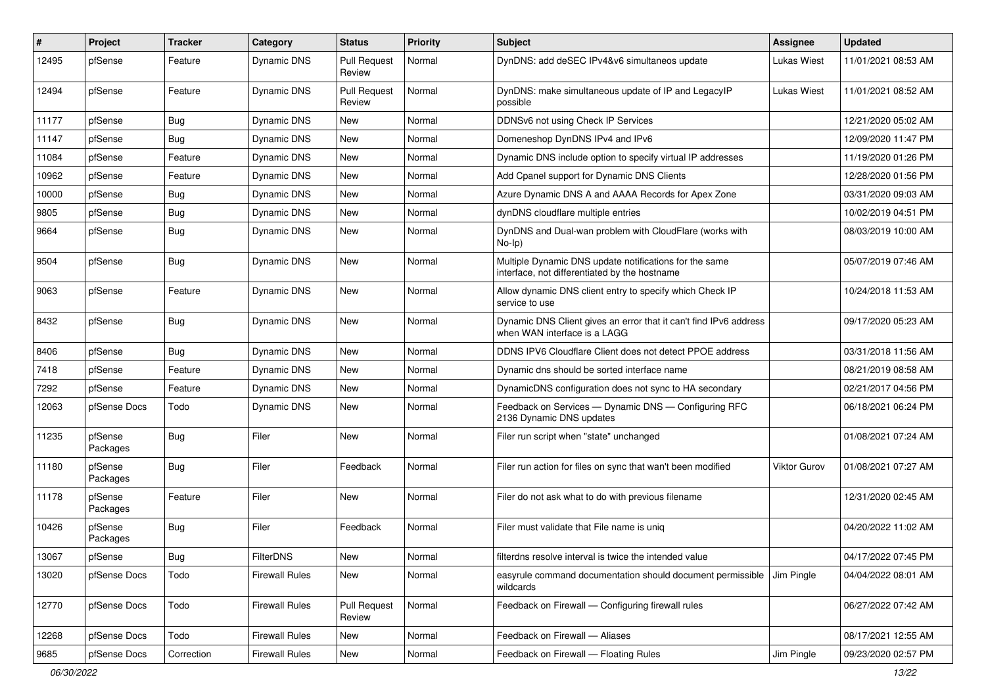| ∦     | Project             | <b>Tracker</b> | Category              | <b>Status</b>                 | <b>Priority</b> | <b>Subject</b>                                                                                          | <b>Assignee</b>    | <b>Updated</b>      |
|-------|---------------------|----------------|-----------------------|-------------------------------|-----------------|---------------------------------------------------------------------------------------------------------|--------------------|---------------------|
| 12495 | pfSense             | Feature        | <b>Dynamic DNS</b>    | <b>Pull Request</b><br>Review | Normal          | DynDNS: add deSEC IPv4&v6 simultaneos update                                                            | <b>Lukas Wiest</b> | 11/01/2021 08:53 AM |
| 12494 | pfSense             | Feature        | <b>Dynamic DNS</b>    | <b>Pull Request</b><br>Review | Normal          | DynDNS: make simultaneous update of IP and LegacyIP<br>possible                                         | <b>Lukas Wiest</b> | 11/01/2021 08:52 AM |
| 11177 | pfSense             | <b>Bug</b>     | <b>Dynamic DNS</b>    | New                           | Normal          | DDNSv6 not using Check IP Services                                                                      |                    | 12/21/2020 05:02 AM |
| 11147 | pfSense             | <b>Bug</b>     | <b>Dynamic DNS</b>    | New                           | Normal          | Domeneshop DynDNS IPv4 and IPv6                                                                         |                    | 12/09/2020 11:47 PM |
| 11084 | pfSense             | Feature        | <b>Dynamic DNS</b>    | New                           | Normal          | Dynamic DNS include option to specify virtual IP addresses                                              |                    | 11/19/2020 01:26 PM |
| 10962 | pfSense             | Feature        | <b>Dynamic DNS</b>    | <b>New</b>                    | Normal          | Add Cpanel support for Dynamic DNS Clients                                                              |                    | 12/28/2020 01:56 PM |
| 10000 | pfSense             | Bug            | <b>Dynamic DNS</b>    | New                           | Normal          | Azure Dynamic DNS A and AAAA Records for Apex Zone                                                      |                    | 03/31/2020 09:03 AM |
| 9805  | pfSense             | <b>Bug</b>     | <b>Dynamic DNS</b>    | New                           | Normal          | dynDNS cloudflare multiple entries                                                                      |                    | 10/02/2019 04:51 PM |
| 9664  | pfSense             | Bug            | <b>Dynamic DNS</b>    | New                           | Normal          | DynDNS and Dual-wan problem with CloudFlare (works with<br>$No-Ip)$                                     |                    | 08/03/2019 10:00 AM |
| 9504  | pfSense             | Bug            | <b>Dynamic DNS</b>    | New                           | Normal          | Multiple Dynamic DNS update notifications for the same<br>interface, not differentiated by the hostname |                    | 05/07/2019 07:46 AM |
| 9063  | pfSense             | Feature        | <b>Dynamic DNS</b>    | New                           | Normal          | Allow dynamic DNS client entry to specify which Check IP<br>service to use                              |                    | 10/24/2018 11:53 AM |
| 8432  | pfSense             | <b>Bug</b>     | <b>Dynamic DNS</b>    | New                           | Normal          | Dynamic DNS Client gives an error that it can't find IPv6 address<br>when WAN interface is a LAGG       |                    | 09/17/2020 05:23 AM |
| 8406  | pfSense             | Bug            | <b>Dynamic DNS</b>    | New                           | Normal          | DDNS IPV6 Cloudflare Client does not detect PPOE address                                                |                    | 03/31/2018 11:56 AM |
| 7418  | pfSense             | Feature        | <b>Dynamic DNS</b>    | New                           | Normal          | Dynamic dns should be sorted interface name                                                             |                    | 08/21/2019 08:58 AM |
| 7292  | pfSense             | Feature        | <b>Dynamic DNS</b>    | New                           | Normal          | DynamicDNS configuration does not sync to HA secondary                                                  |                    | 02/21/2017 04:56 PM |
| 12063 | pfSense Docs        | Todo           | Dynamic DNS           | New                           | Normal          | Feedback on Services - Dynamic DNS - Configuring RFC<br>2136 Dynamic DNS updates                        |                    | 06/18/2021 06:24 PM |
| 11235 | pfSense<br>Packages | <b>Bug</b>     | Filer                 | <b>New</b>                    | Normal          | Filer run script when "state" unchanged                                                                 |                    | 01/08/2021 07:24 AM |
| 11180 | pfSense<br>Packages | <b>Bug</b>     | Filer                 | Feedback                      | Normal          | Filer run action for files on sync that wan't been modified                                             | Viktor Gurov       | 01/08/2021 07:27 AM |
| 11178 | pfSense<br>Packages | Feature        | Filer                 | <b>New</b>                    | Normal          | Filer do not ask what to do with previous filename                                                      |                    | 12/31/2020 02:45 AM |
| 10426 | pfSense<br>Packages | <b>Bug</b>     | Filer                 | Feedback                      | Normal          | Filer must validate that File name is uniq                                                              |                    | 04/20/2022 11:02 AM |
| 13067 | pfSense             | Bug            | FilterDNS             | New                           | Normal          | filterdns resolve interval is twice the intended value                                                  |                    | 04/17/2022 07:45 PM |
| 13020 | pfSense Docs        | Todo           | <b>Firewall Rules</b> | New                           | Normal          | easyrule command documentation should document permissible J Jim Pingle<br>wildcards                    |                    | 04/04/2022 08:01 AM |
| 12770 | pfSense Docs        | Todo           | <b>Firewall Rules</b> | <b>Pull Request</b><br>Review | Normal          | Feedback on Firewall - Configuring firewall rules                                                       |                    | 06/27/2022 07:42 AM |
| 12268 | pfSense Docs        | Todo           | <b>Firewall Rules</b> | New                           | Normal          | Feedback on Firewall - Aliases                                                                          |                    | 08/17/2021 12:55 AM |
| 9685  | pfSense Docs        | Correction     | <b>Firewall Rules</b> | New                           | Normal          | Feedback on Firewall - Floating Rules                                                                   | Jim Pingle         | 09/23/2020 02:57 PM |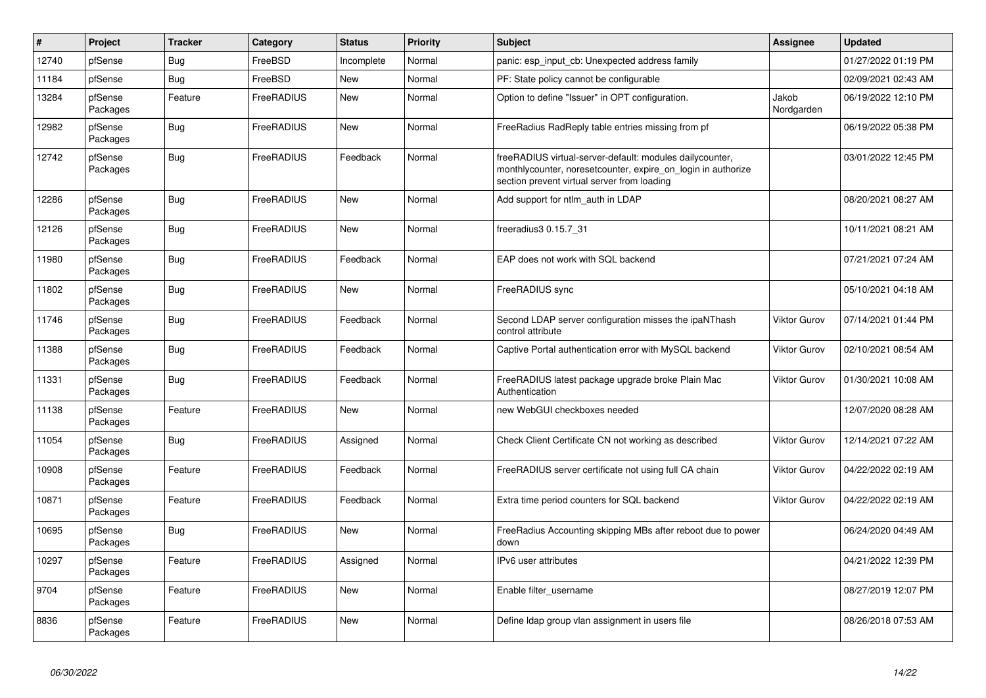| $\vert$ # | <b>Project</b>      | <b>Tracker</b> | Category   | <b>Status</b> | <b>Priority</b> | <b>Subject</b>                                                                                                                                                          | <b>Assignee</b>     | <b>Updated</b>      |
|-----------|---------------------|----------------|------------|---------------|-----------------|-------------------------------------------------------------------------------------------------------------------------------------------------------------------------|---------------------|---------------------|
| 12740     | pfSense             | Bug            | FreeBSD    | Incomplete    | Normal          | panic: esp input cb: Unexpected address family                                                                                                                          |                     | 01/27/2022 01:19 PM |
| 11184     | pfSense             | Bug            | FreeBSD    | <b>New</b>    | Normal          | PF: State policy cannot be configurable                                                                                                                                 |                     | 02/09/2021 02:43 AM |
| 13284     | pfSense<br>Packages | Feature        | FreeRADIUS | <b>New</b>    | Normal          | Option to define "Issuer" in OPT configuration.                                                                                                                         | Jakob<br>Nordgarden | 06/19/2022 12:10 PM |
| 12982     | pfSense<br>Packages | <b>Bug</b>     | FreeRADIUS | New           | Normal          | FreeRadius RadReply table entries missing from pf                                                                                                                       |                     | 06/19/2022 05:38 PM |
| 12742     | pfSense<br>Packages | <b>Bug</b>     | FreeRADIUS | Feedback      | Normal          | freeRADIUS virtual-server-default: modules dailycounter,<br>monthlycounter, noresetcounter, expire_on_login in authorize<br>section prevent virtual server from loading |                     | 03/01/2022 12:45 PM |
| 12286     | pfSense<br>Packages | Bug            | FreeRADIUS | <b>New</b>    | Normal          | Add support for ntlm auth in LDAP                                                                                                                                       |                     | 08/20/2021 08:27 AM |
| 12126     | pfSense<br>Packages | <b>Bug</b>     | FreeRADIUS | <b>New</b>    | Normal          | freeradius3 0.15.7_31                                                                                                                                                   |                     | 10/11/2021 08:21 AM |
| 11980     | pfSense<br>Packages | <b>Bug</b>     | FreeRADIUS | Feedback      | Normal          | EAP does not work with SQL backend                                                                                                                                      |                     | 07/21/2021 07:24 AM |
| 11802     | pfSense<br>Packages | Bug            | FreeRADIUS | New           | Normal          | FreeRADIUS sync                                                                                                                                                         |                     | 05/10/2021 04:18 AM |
| 11746     | pfSense<br>Packages | <b>Bug</b>     | FreeRADIUS | Feedback      | Normal          | Second LDAP server configuration misses the ipaNThash<br>control attribute                                                                                              | Viktor Gurov        | 07/14/2021 01:44 PM |
| 11388     | pfSense<br>Packages | <b>Bug</b>     | FreeRADIUS | Feedback      | Normal          | Captive Portal authentication error with MySQL backend                                                                                                                  | Viktor Gurov        | 02/10/2021 08:54 AM |
| 11331     | pfSense<br>Packages | <b>Bug</b>     | FreeRADIUS | Feedback      | Normal          | FreeRADIUS latest package upgrade broke Plain Mac<br>Authentication                                                                                                     | Viktor Gurov        | 01/30/2021 10:08 AM |
| 11138     | pfSense<br>Packages | Feature        | FreeRADIUS | New           | Normal          | new WebGUI checkboxes needed                                                                                                                                            |                     | 12/07/2020 08:28 AM |
| 11054     | pfSense<br>Packages | <b>Bug</b>     | FreeRADIUS | Assigned      | Normal          | Check Client Certificate CN not working as described                                                                                                                    | Viktor Gurov        | 12/14/2021 07:22 AM |
| 10908     | pfSense<br>Packages | Feature        | FreeRADIUS | Feedback      | Normal          | FreeRADIUS server certificate not using full CA chain                                                                                                                   | Viktor Gurov        | 04/22/2022 02:19 AM |
| 10871     | pfSense<br>Packages | Feature        | FreeRADIUS | Feedback      | Normal          | Extra time period counters for SQL backend                                                                                                                              | Viktor Gurov        | 04/22/2022 02:19 AM |
| 10695     | pfSense<br>Packages | <b>Bug</b>     | FreeRADIUS | <b>New</b>    | Normal          | FreeRadius Accounting skipping MBs after reboot due to power<br>down                                                                                                    |                     | 06/24/2020 04:49 AM |
| 10297     | pfSense<br>Packages | Feature        | FreeRADIUS | Assigned      | Normal          | IPv6 user attributes                                                                                                                                                    |                     | 04/21/2022 12:39 PM |
| 9704      | pfSense<br>Packages | Feature        | FreeRADIUS | New           | Normal          | Enable filter username                                                                                                                                                  |                     | 08/27/2019 12:07 PM |
| 8836      | pfSense<br>Packages | Feature        | FreeRADIUS | <b>New</b>    | Normal          | Define Idap group vlan assignment in users file                                                                                                                         |                     | 08/26/2018 07:53 AM |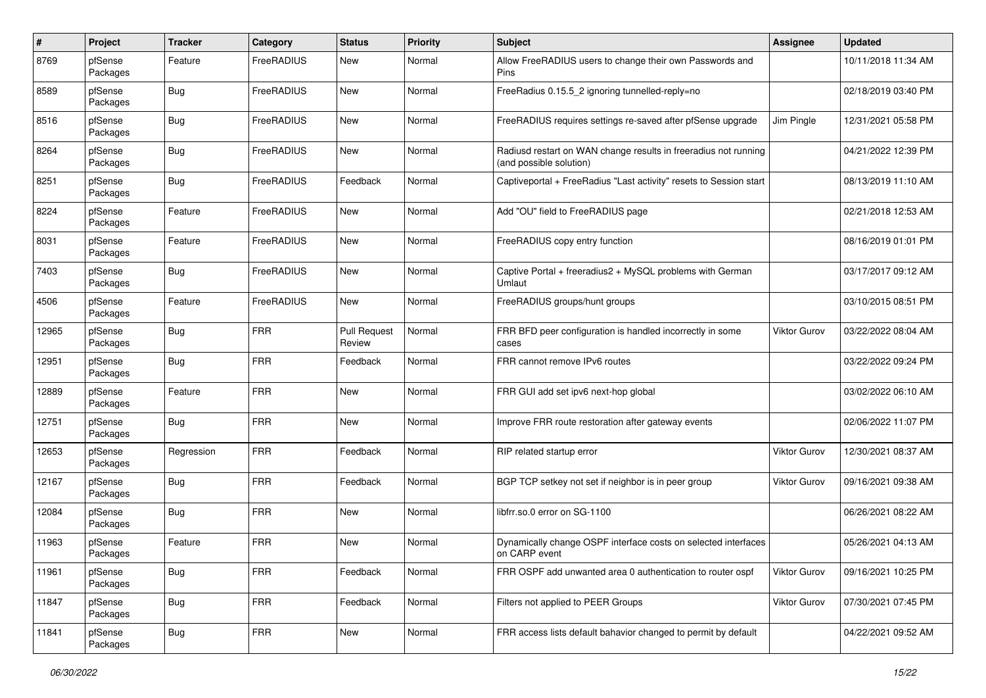| $\pmb{\#}$ | Project             | <b>Tracker</b> | Category   | <b>Status</b>                 | <b>Priority</b> | Subject                                                                                    | <b>Assignee</b>     | <b>Updated</b>      |
|------------|---------------------|----------------|------------|-------------------------------|-----------------|--------------------------------------------------------------------------------------------|---------------------|---------------------|
| 8769       | pfSense<br>Packages | Feature        | FreeRADIUS | <b>New</b>                    | Normal          | Allow FreeRADIUS users to change their own Passwords and<br>Pins                           |                     | 10/11/2018 11:34 AM |
| 8589       | pfSense<br>Packages | <b>Bug</b>     | FreeRADIUS | <b>New</b>                    | Normal          | FreeRadius 0.15.5 2 ignoring tunnelled-reply=no                                            |                     | 02/18/2019 03:40 PM |
| 8516       | pfSense<br>Packages | <b>Bug</b>     | FreeRADIUS | <b>New</b>                    | Normal          | FreeRADIUS requires settings re-saved after pfSense upgrade                                | Jim Pingle          | 12/31/2021 05:58 PM |
| 8264       | pfSense<br>Packages | <b>Bug</b>     | FreeRADIUS | New                           | Normal          | Radiusd restart on WAN change results in freeradius not running<br>(and possible solution) |                     | 04/21/2022 12:39 PM |
| 8251       | pfSense<br>Packages | <b>Bug</b>     | FreeRADIUS | Feedback                      | Normal          | Captiveportal + FreeRadius "Last activity" resets to Session start                         |                     | 08/13/2019 11:10 AM |
| 8224       | pfSense<br>Packages | Feature        | FreeRADIUS | <b>New</b>                    | Normal          | Add "OU" field to FreeRADIUS page                                                          |                     | 02/21/2018 12:53 AM |
| 8031       | pfSense<br>Packages | Feature        | FreeRADIUS | <b>New</b>                    | Normal          | FreeRADIUS copy entry function                                                             |                     | 08/16/2019 01:01 PM |
| 7403       | pfSense<br>Packages | <b>Bug</b>     | FreeRADIUS | <b>New</b>                    | Normal          | Captive Portal + freeradius2 + MySQL problems with German<br>Umlaut                        |                     | 03/17/2017 09:12 AM |
| 4506       | pfSense<br>Packages | Feature        | FreeRADIUS | <b>New</b>                    | Normal          | FreeRADIUS groups/hunt groups                                                              |                     | 03/10/2015 08:51 PM |
| 12965      | pfSense<br>Packages | <b>Bug</b>     | <b>FRR</b> | <b>Pull Request</b><br>Review | Normal          | FRR BFD peer configuration is handled incorrectly in some<br>cases                         | Viktor Gurov        | 03/22/2022 08:04 AM |
| 12951      | pfSense<br>Packages | <b>Bug</b>     | <b>FRR</b> | Feedback                      | Normal          | FRR cannot remove IPv6 routes                                                              |                     | 03/22/2022 09:24 PM |
| 12889      | pfSense<br>Packages | Feature        | <b>FRR</b> | <b>New</b>                    | Normal          | FRR GUI add set ipv6 next-hop global                                                       |                     | 03/02/2022 06:10 AM |
| 12751      | pfSense<br>Packages | <b>Bug</b>     | <b>FRR</b> | <b>New</b>                    | Normal          | Improve FRR route restoration after gateway events                                         |                     | 02/06/2022 11:07 PM |
| 12653      | pfSense<br>Packages | Regression     | <b>FRR</b> | Feedback                      | Normal          | RIP related startup error                                                                  | <b>Viktor Gurov</b> | 12/30/2021 08:37 AM |
| 12167      | pfSense<br>Packages | <b>Bug</b>     | <b>FRR</b> | Feedback                      | Normal          | BGP TCP setkey not set if neighbor is in peer group                                        | Viktor Gurov        | 09/16/2021 09:38 AM |
| 12084      | pfSense<br>Packages | <b>Bug</b>     | <b>FRR</b> | <b>New</b>                    | Normal          | libfrr.so.0 error on SG-1100                                                               |                     | 06/26/2021 08:22 AM |
| 11963      | pfSense<br>Packages | Feature        | <b>FRR</b> | <b>New</b>                    | Normal          | Dynamically change OSPF interface costs on selected interfaces<br>on CARP event            |                     | 05/26/2021 04:13 AM |
| 11961      | pfSense<br>Packages | <b>Bug</b>     | <b>FRR</b> | Feedback                      | Normal          | FRR OSPF add unwanted area 0 authentication to router ospf                                 | <b>Viktor Gurov</b> | 09/16/2021 10:25 PM |
| 11847      | pfSense<br>Packages | <b>Bug</b>     | <b>FRR</b> | Feedback                      | Normal          | Filters not applied to PEER Groups                                                         | Viktor Gurov        | 07/30/2021 07:45 PM |
| 11841      | pfSense<br>Packages | <b>Bug</b>     | <b>FRR</b> | New                           | Normal          | FRR access lists default bahavior changed to permit by default                             |                     | 04/22/2021 09:52 AM |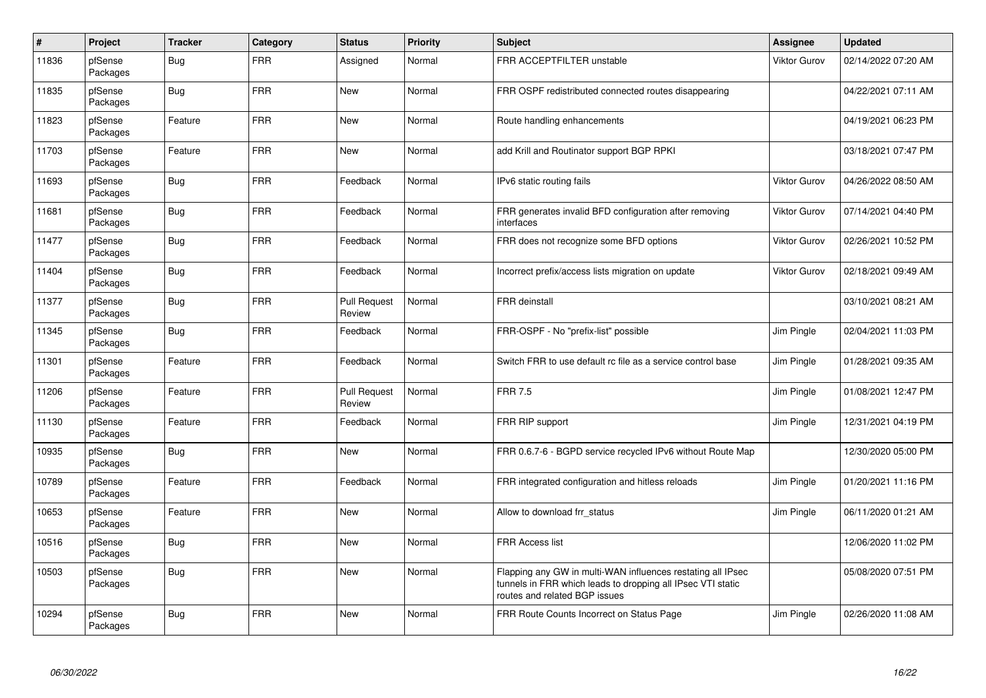| $\sharp$ | Project             | <b>Tracker</b> | Category   | <b>Status</b>                 | <b>Priority</b> | <b>Subject</b>                                                                                                                                              | Assignee     | <b>Updated</b>      |
|----------|---------------------|----------------|------------|-------------------------------|-----------------|-------------------------------------------------------------------------------------------------------------------------------------------------------------|--------------|---------------------|
| 11836    | pfSense<br>Packages | Bug            | <b>FRR</b> | Assigned                      | Normal          | FRR ACCEPTFILTER unstable                                                                                                                                   | Viktor Gurov | 02/14/2022 07:20 AM |
| 11835    | pfSense<br>Packages | <b>Bug</b>     | <b>FRR</b> | New                           | Normal          | FRR OSPF redistributed connected routes disappearing                                                                                                        |              | 04/22/2021 07:11 AM |
| 11823    | pfSense<br>Packages | Feature        | <b>FRR</b> | <b>New</b>                    | Normal          | Route handling enhancements                                                                                                                                 |              | 04/19/2021 06:23 PM |
| 11703    | pfSense<br>Packages | Feature        | <b>FRR</b> | <b>New</b>                    | Normal          | add Krill and Routinator support BGP RPKI                                                                                                                   |              | 03/18/2021 07:47 PM |
| 11693    | pfSense<br>Packages | <b>Bug</b>     | <b>FRR</b> | Feedback                      | Normal          | IPv6 static routing fails                                                                                                                                   | Viktor Gurov | 04/26/2022 08:50 AM |
| 11681    | pfSense<br>Packages | <b>Bug</b>     | <b>FRR</b> | Feedback                      | Normal          | FRR generates invalid BFD configuration after removing<br>interfaces                                                                                        | Viktor Gurov | 07/14/2021 04:40 PM |
| 11477    | pfSense<br>Packages | <b>Bug</b>     | <b>FRR</b> | Feedback                      | Normal          | FRR does not recognize some BFD options                                                                                                                     | Viktor Gurov | 02/26/2021 10:52 PM |
| 11404    | pfSense<br>Packages | <b>Bug</b>     | <b>FRR</b> | Feedback                      | Normal          | Incorrect prefix/access lists migration on update                                                                                                           | Viktor Gurov | 02/18/2021 09:49 AM |
| 11377    | pfSense<br>Packages | <b>Bug</b>     | <b>FRR</b> | <b>Pull Request</b><br>Review | Normal          | FRR deinstall                                                                                                                                               |              | 03/10/2021 08:21 AM |
| 11345    | pfSense<br>Packages | Bug            | <b>FRR</b> | Feedback                      | Normal          | FRR-OSPF - No "prefix-list" possible                                                                                                                        | Jim Pingle   | 02/04/2021 11:03 PM |
| 11301    | pfSense<br>Packages | Feature        | <b>FRR</b> | Feedback                      | Normal          | Switch FRR to use default rc file as a service control base                                                                                                 | Jim Pingle   | 01/28/2021 09:35 AM |
| 11206    | pfSense<br>Packages | Feature        | <b>FRR</b> | <b>Pull Request</b><br>Review | Normal          | <b>FRR 7.5</b>                                                                                                                                              | Jim Pingle   | 01/08/2021 12:47 PM |
| 11130    | pfSense<br>Packages | Feature        | <b>FRR</b> | Feedback                      | Normal          | FRR RIP support                                                                                                                                             | Jim Pingle   | 12/31/2021 04:19 PM |
| 10935    | pfSense<br>Packages | Bug            | <b>FRR</b> | <b>New</b>                    | Normal          | FRR 0.6.7-6 - BGPD service recycled IPv6 without Route Map                                                                                                  |              | 12/30/2020 05:00 PM |
| 10789    | pfSense<br>Packages | Feature        | <b>FRR</b> | Feedback                      | Normal          | FRR integrated configuration and hitless reloads                                                                                                            | Jim Pingle   | 01/20/2021 11:16 PM |
| 10653    | pfSense<br>Packages | Feature        | <b>FRR</b> | <b>New</b>                    | Normal          | Allow to download frr_status                                                                                                                                | Jim Pingle   | 06/11/2020 01:21 AM |
| 10516    | pfSense<br>Packages | <b>Bug</b>     | <b>FRR</b> | <b>New</b>                    | Normal          | <b>FRR Access list</b>                                                                                                                                      |              | 12/06/2020 11:02 PM |
| 10503    | pfSense<br>Packages | <b>Bug</b>     | <b>FRR</b> | <b>New</b>                    | Normal          | Flapping any GW in multi-WAN influences restating all IPsec<br>tunnels in FRR which leads to dropping all IPsec VTI static<br>routes and related BGP issues |              | 05/08/2020 07:51 PM |
| 10294    | pfSense<br>Packages | <b>Bug</b>     | <b>FRR</b> | <b>New</b>                    | Normal          | FRR Route Counts Incorrect on Status Page                                                                                                                   | Jim Pingle   | 02/26/2020 11:08 AM |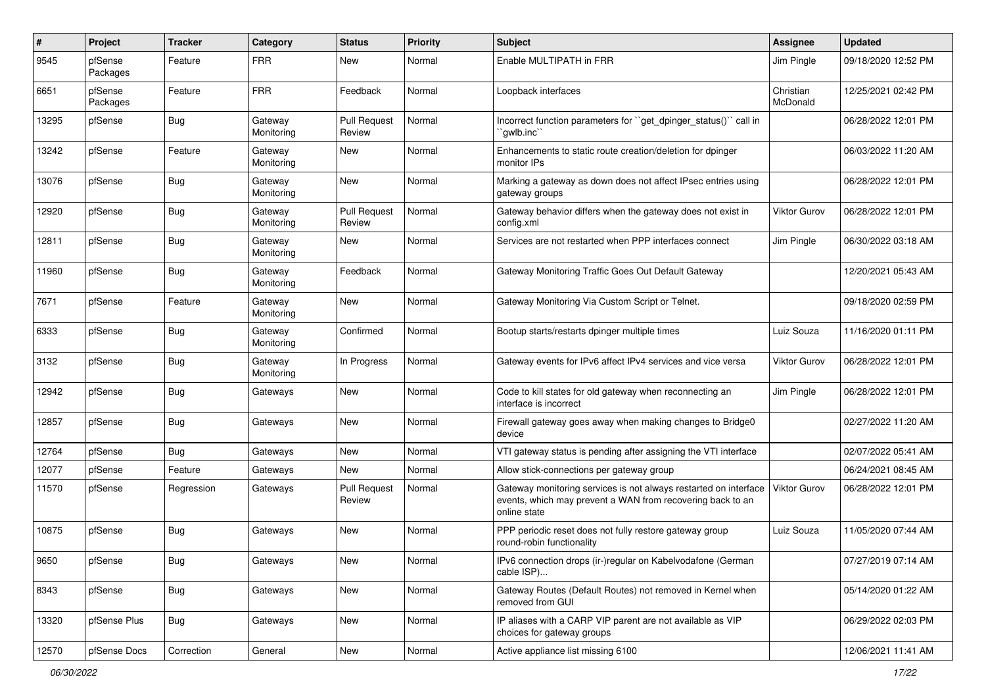| #     | Project             | <b>Tracker</b> | Category              | <b>Status</b>                 | <b>Priority</b> | <b>Subject</b>                                                                                                                                 | <b>Assignee</b>       | <b>Updated</b>      |
|-------|---------------------|----------------|-----------------------|-------------------------------|-----------------|------------------------------------------------------------------------------------------------------------------------------------------------|-----------------------|---------------------|
| 9545  | pfSense<br>Packages | Feature        | <b>FRR</b>            | <b>New</b>                    | Normal          | Enable MULTIPATH in FRR                                                                                                                        | Jim Pingle            | 09/18/2020 12:52 PM |
| 6651  | pfSense<br>Packages | Feature        | <b>FRR</b>            | Feedback                      | Normal          | Loopback interfaces                                                                                                                            | Christian<br>McDonald | 12/25/2021 02:42 PM |
| 13295 | pfSense             | Bug            | Gateway<br>Monitoring | <b>Pull Request</b><br>Review | Normal          | Incorrect function parameters for "get_dpinger_status()" call in<br>`qwlb.inc`                                                                 |                       | 06/28/2022 12:01 PM |
| 13242 | pfSense             | Feature        | Gateway<br>Monitoring | New                           | Normal          | Enhancements to static route creation/deletion for dpinger<br>monitor IPs                                                                      |                       | 06/03/2022 11:20 AM |
| 13076 | pfSense             | <b>Bug</b>     | Gateway<br>Monitoring | New                           | Normal          | Marking a gateway as down does not affect IPsec entries using<br>gateway groups                                                                |                       | 06/28/2022 12:01 PM |
| 12920 | pfSense             | Bug            | Gateway<br>Monitoring | <b>Pull Request</b><br>Review | Normal          | Gateway behavior differs when the gateway does not exist in<br>config.xml                                                                      | Viktor Gurov          | 06/28/2022 12:01 PM |
| 12811 | pfSense             | Bug            | Gateway<br>Monitoring | <b>New</b>                    | Normal          | Services are not restarted when PPP interfaces connect                                                                                         | Jim Pingle            | 06/30/2022 03:18 AM |
| 11960 | pfSense             | <b>Bug</b>     | Gateway<br>Monitoring | Feedback                      | Normal          | Gateway Monitoring Traffic Goes Out Default Gateway                                                                                            |                       | 12/20/2021 05:43 AM |
| 7671  | pfSense             | Feature        | Gateway<br>Monitoring | <b>New</b>                    | Normal          | Gateway Monitoring Via Custom Script or Telnet.                                                                                                |                       | 09/18/2020 02:59 PM |
| 6333  | pfSense             | <b>Bug</b>     | Gateway<br>Monitoring | Confirmed                     | Normal          | Bootup starts/restarts dpinger multiple times                                                                                                  | Luiz Souza            | 11/16/2020 01:11 PM |
| 3132  | pfSense             | Bug            | Gateway<br>Monitoring | In Progress                   | Normal          | Gateway events for IPv6 affect IPv4 services and vice versa                                                                                    | Viktor Gurov          | 06/28/2022 12:01 PM |
| 12942 | pfSense             | <b>Bug</b>     | Gateways              | New                           | Normal          | Code to kill states for old gateway when reconnecting an<br>interface is incorrect                                                             | Jim Pingle            | 06/28/2022 12:01 PM |
| 12857 | pfSense             | Bug            | Gateways              | New                           | Normal          | Firewall gateway goes away when making changes to Bridge0<br>device                                                                            |                       | 02/27/2022 11:20 AM |
| 12764 | pfSense             | <b>Bug</b>     | Gateways              | <b>New</b>                    | Normal          | VTI gateway status is pending after assigning the VTI interface                                                                                |                       | 02/07/2022 05:41 AM |
| 12077 | pfSense             | Feature        | Gateways              | <b>New</b>                    | Normal          | Allow stick-connections per gateway group                                                                                                      |                       | 06/24/2021 08:45 AM |
| 11570 | pfSense             | Regression     | Gateways              | <b>Pull Request</b><br>Review | Normal          | Gateway monitoring services is not always restarted on interface<br>events, which may prevent a WAN from recovering back to an<br>online state | <b>Viktor Gurov</b>   | 06/28/2022 12:01 PM |
| 10875 | pfSense             | Bug            | Gateways              | New                           | Normal          | PPP periodic reset does not fully restore gateway group<br>round-robin functionality                                                           | Luiz Souza            | 11/05/2020 07:44 AM |
| 9650  | pfSense             | <b>Bug</b>     | Gateways              | New                           | Normal          | IPv6 connection drops (ir-)regular on Kabelvodafone (German<br>cable ISP)                                                                      |                       | 07/27/2019 07:14 AM |
| 8343  | pfSense             | <b>Bug</b>     | Gateways              | New                           | Normal          | Gateway Routes (Default Routes) not removed in Kernel when<br>removed from GUI                                                                 |                       | 05/14/2020 01:22 AM |
| 13320 | pfSense Plus        | <b>Bug</b>     | Gateways              | New                           | Normal          | IP aliases with a CARP VIP parent are not available as VIP<br>choices for gateway groups                                                       |                       | 06/29/2022 02:03 PM |
| 12570 | pfSense Docs        | Correction     | General               | New                           | Normal          | Active appliance list missing 6100                                                                                                             |                       | 12/06/2021 11:41 AM |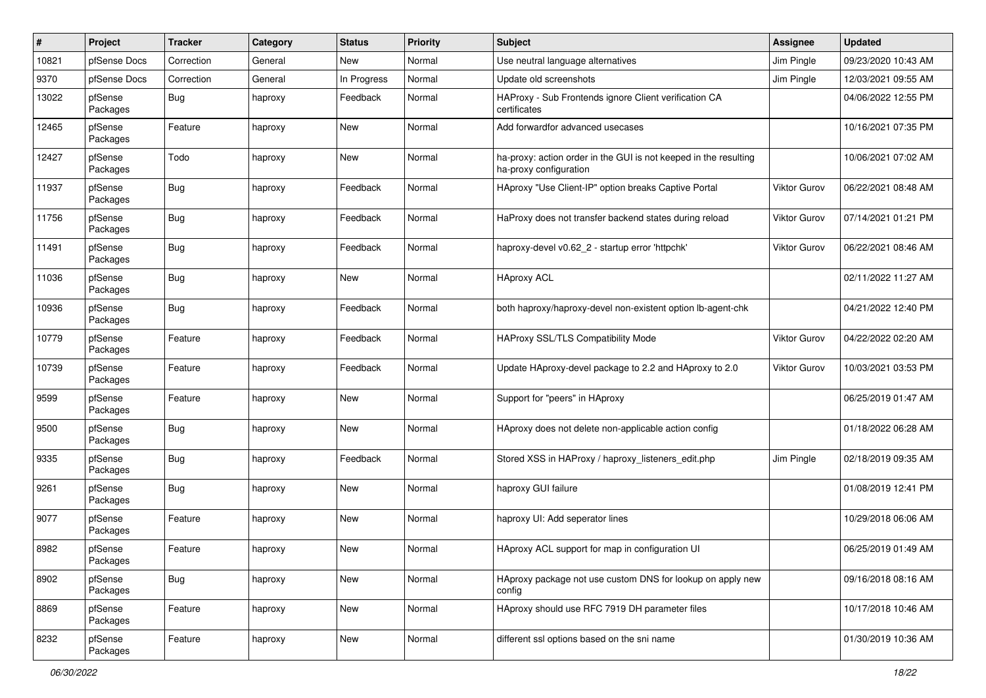| #     | Project             | <b>Tracker</b> | Category | <b>Status</b> | <b>Priority</b> | Subject                                                                                    | <b>Assignee</b>     | <b>Updated</b>      |
|-------|---------------------|----------------|----------|---------------|-----------------|--------------------------------------------------------------------------------------------|---------------------|---------------------|
| 10821 | pfSense Docs        | Correction     | General  | New           | Normal          | Use neutral language alternatives                                                          | Jim Pingle          | 09/23/2020 10:43 AM |
| 9370  | pfSense Docs        | Correction     | General  | In Progress   | Normal          | Update old screenshots                                                                     | Jim Pingle          | 12/03/2021 09:55 AM |
| 13022 | pfSense<br>Packages | <b>Bug</b>     | haproxy  | Feedback      | Normal          | HAProxy - Sub Frontends ignore Client verification CA<br>certificates                      |                     | 04/06/2022 12:55 PM |
| 12465 | pfSense<br>Packages | Feature        | haproxy  | <b>New</b>    | Normal          | Add forwardfor advanced usecases                                                           |                     | 10/16/2021 07:35 PM |
| 12427 | pfSense<br>Packages | Todo           | haproxy  | New           | Normal          | ha-proxy: action order in the GUI is not keeped in the resulting<br>ha-proxy configuration |                     | 10/06/2021 07:02 AM |
| 11937 | pfSense<br>Packages | Bug            | haproxy  | Feedback      | Normal          | HAproxy "Use Client-IP" option breaks Captive Portal                                       | Viktor Gurov        | 06/22/2021 08:48 AM |
| 11756 | pfSense<br>Packages | Bug            | haproxy  | Feedback      | Normal          | HaProxy does not transfer backend states during reload                                     | <b>Viktor Gurov</b> | 07/14/2021 01:21 PM |
| 11491 | pfSense<br>Packages | <b>Bug</b>     | haproxy  | Feedback      | Normal          | haproxy-devel v0.62 2 - startup error 'httpchk'                                            | Viktor Gurov        | 06/22/2021 08:46 AM |
| 11036 | pfSense<br>Packages | <b>Bug</b>     | haproxy  | <b>New</b>    | Normal          | <b>HAproxy ACL</b>                                                                         |                     | 02/11/2022 11:27 AM |
| 10936 | pfSense<br>Packages | <b>Bug</b>     | haproxy  | Feedback      | Normal          | both haproxy/haproxy-devel non-existent option lb-agent-chk                                |                     | 04/21/2022 12:40 PM |
| 10779 | pfSense<br>Packages | Feature        | haproxy  | Feedback      | Normal          | HAProxy SSL/TLS Compatibility Mode                                                         | <b>Viktor Gurov</b> | 04/22/2022 02:20 AM |
| 10739 | pfSense<br>Packages | Feature        | haproxy  | Feedback      | Normal          | Update HAproxy-devel package to 2.2 and HAproxy to 2.0                                     | Viktor Gurov        | 10/03/2021 03:53 PM |
| 9599  | pfSense<br>Packages | Feature        | haproxy  | <b>New</b>    | Normal          | Support for "peers" in HAproxy                                                             |                     | 06/25/2019 01:47 AM |
| 9500  | pfSense<br>Packages | Bug            | haproxy  | <b>New</b>    | Normal          | HAproxy does not delete non-applicable action config                                       |                     | 01/18/2022 06:28 AM |
| 9335  | pfSense<br>Packages | Bug            | haproxy  | Feedback      | Normal          | Stored XSS in HAProxy / haproxy_listeners_edit.php                                         | Jim Pingle          | 02/18/2019 09:35 AM |
| 9261  | pfSense<br>Packages | <b>Bug</b>     | haproxy  | <b>New</b>    | Normal          | haproxy GUI failure                                                                        |                     | 01/08/2019 12:41 PM |
| 9077  | pfSense<br>Packages | Feature        | haproxy  | New           | Normal          | haproxy UI: Add seperator lines                                                            |                     | 10/29/2018 06:06 AM |
| 8982  | pfSense<br>Packages | Feature        | haproxy  | <b>New</b>    | Normal          | HAproxy ACL support for map in configuration UI                                            |                     | 06/25/2019 01:49 AM |
| 8902  | pfSense<br>Packages | Bug            | haproxy  | New           | Normal          | HAproxy package not use custom DNS for lookup on apply new<br>config                       |                     | 09/16/2018 08:16 AM |
| 8869  | pfSense<br>Packages | Feature        | haproxy  | New           | Normal          | HAproxy should use RFC 7919 DH parameter files                                             |                     | 10/17/2018 10:46 AM |
| 8232  | pfSense<br>Packages | Feature        | haproxy  | New           | Normal          | different ssl options based on the sni name                                                |                     | 01/30/2019 10:36 AM |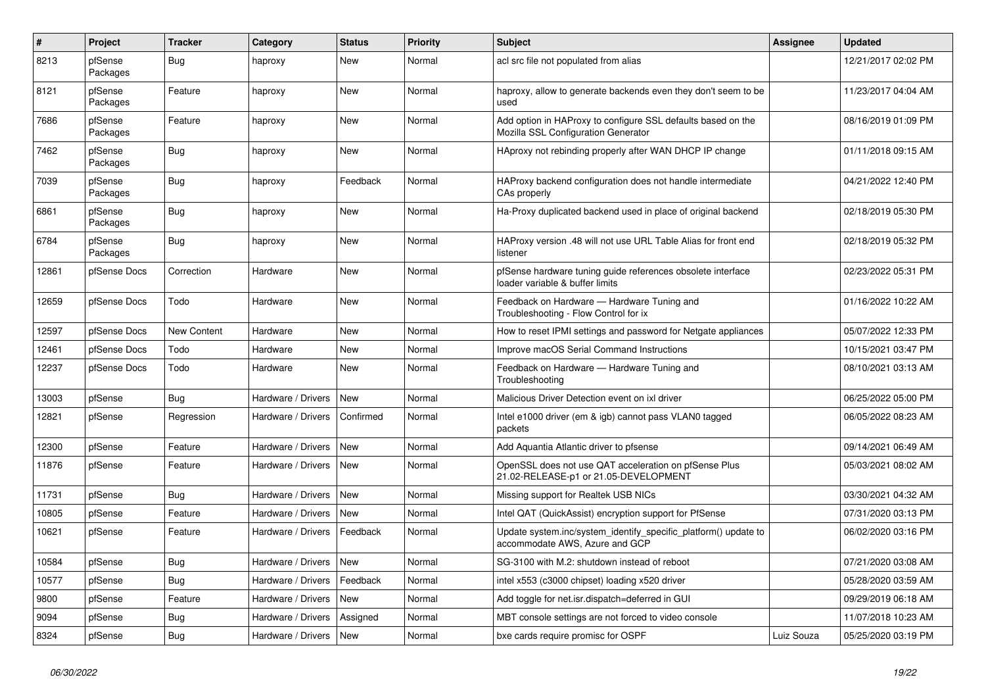| $\vert$ # | Project             | <b>Tracker</b>     | Category           | <b>Status</b> | <b>Priority</b> | <b>Subject</b>                                                                                      | Assignee   | <b>Updated</b>      |
|-----------|---------------------|--------------------|--------------------|---------------|-----------------|-----------------------------------------------------------------------------------------------------|------------|---------------------|
| 8213      | pfSense<br>Packages | <b>Bug</b>         | haproxy            | <b>New</b>    | Normal          | acl src file not populated from alias                                                               |            | 12/21/2017 02:02 PM |
| 8121      | pfSense<br>Packages | Feature            | haproxy            | <b>New</b>    | Normal          | haproxy, allow to generate backends even they don't seem to be<br>used                              |            | 11/23/2017 04:04 AM |
| 7686      | pfSense<br>Packages | Feature            | haproxy            | <b>New</b>    | Normal          | Add option in HAProxy to configure SSL defaults based on the<br>Mozilla SSL Configuration Generator |            | 08/16/2019 01:09 PM |
| 7462      | pfSense<br>Packages | <b>Bug</b>         | haproxy            | <b>New</b>    | Normal          | HAproxy not rebinding properly after WAN DHCP IP change                                             |            | 01/11/2018 09:15 AM |
| 7039      | pfSense<br>Packages | Bug                | haproxy            | Feedback      | Normal          | HAProxy backend configuration does not handle intermediate<br>CAs properly                          |            | 04/21/2022 12:40 PM |
| 6861      | pfSense<br>Packages | <b>Bug</b>         | haproxy            | <b>New</b>    | Normal          | Ha-Proxy duplicated backend used in place of original backend                                       |            | 02/18/2019 05:30 PM |
| 6784      | pfSense<br>Packages | Bug                | haproxy            | <b>New</b>    | Normal          | HAProxy version .48 will not use URL Table Alias for front end<br>listener                          |            | 02/18/2019 05:32 PM |
| 12861     | pfSense Docs        | Correction         | Hardware           | <b>New</b>    | Normal          | pfSense hardware tuning guide references obsolete interface<br>loader variable & buffer limits      |            | 02/23/2022 05:31 PM |
| 12659     | pfSense Docs        | Todo               | Hardware           | New           | Normal          | Feedback on Hardware - Hardware Tuning and<br>Troubleshooting - Flow Control for ix                 |            | 01/16/2022 10:22 AM |
| 12597     | pfSense Docs        | <b>New Content</b> | Hardware           | <b>New</b>    | Normal          | How to reset IPMI settings and password for Netgate appliances                                      |            | 05/07/2022 12:33 PM |
| 12461     | pfSense Docs        | Todo               | Hardware           | New           | Normal          | Improve macOS Serial Command Instructions                                                           |            | 10/15/2021 03:47 PM |
| 12237     | pfSense Docs        | Todo               | Hardware           | New           | Normal          | Feedback on Hardware - Hardware Tuning and<br>Troubleshooting                                       |            | 08/10/2021 03:13 AM |
| 13003     | pfSense             | <b>Bug</b>         | Hardware / Drivers | <b>New</b>    | Normal          | Malicious Driver Detection event on ixl driver                                                      |            | 06/25/2022 05:00 PM |
| 12821     | pfSense             | Regression         | Hardware / Drivers | Confirmed     | Normal          | Intel e1000 driver (em & igb) cannot pass VLAN0 tagged<br>packets                                   |            | 06/05/2022 08:23 AM |
| 12300     | pfSense             | Feature            | Hardware / Drivers | <b>New</b>    | Normal          | Add Aquantia Atlantic driver to pfsense                                                             |            | 09/14/2021 06:49 AM |
| 11876     | pfSense             | Feature            | Hardware / Drivers | <b>New</b>    | Normal          | OpenSSL does not use QAT acceleration on pfSense Plus<br>21.02-RELEASE-p1 or 21.05-DEVELOPMENT      |            | 05/03/2021 08:02 AM |
| 11731     | pfSense             | <b>Bug</b>         | Hardware / Drivers | <b>New</b>    | Normal          | Missing support for Realtek USB NICs                                                                |            | 03/30/2021 04:32 AM |
| 10805     | pfSense             | Feature            | Hardware / Drivers | New           | Normal          | Intel QAT (QuickAssist) encryption support for PfSense                                              |            | 07/31/2020 03:13 PM |
| 10621     | pfSense             | Feature            | Hardware / Drivers | Feedback      | Normal          | Update system.inc/system identify specific platform() update to<br>accommodate AWS, Azure and GCP   |            | 06/02/2020 03:16 PM |
| 10584     | pfSense             | Bug                | Hardware / Drivers | <b>New</b>    | Normal          | SG-3100 with M.2: shutdown instead of reboot                                                        |            | 07/21/2020 03:08 AM |
| 10577     | pfSense             | <b>Bug</b>         | Hardware / Drivers | Feedback      | Normal          | intel x553 (c3000 chipset) loading x520 driver                                                      |            | 05/28/2020 03:59 AM |
| 9800      | pfSense             | Feature            | Hardware / Drivers | <b>New</b>    | Normal          | Add toggle for net.isr.dispatch=deferred in GUI                                                     |            | 09/29/2019 06:18 AM |
| 9094      | pfSense             | <b>Bug</b>         | Hardware / Drivers | Assigned      | Normal          | MBT console settings are not forced to video console                                                |            | 11/07/2018 10:23 AM |
| 8324      | pfSense             | <b>Bug</b>         | Hardware / Drivers | <b>New</b>    | Normal          | bxe cards require promisc for OSPF                                                                  | Luiz Souza | 05/25/2020 03:19 PM |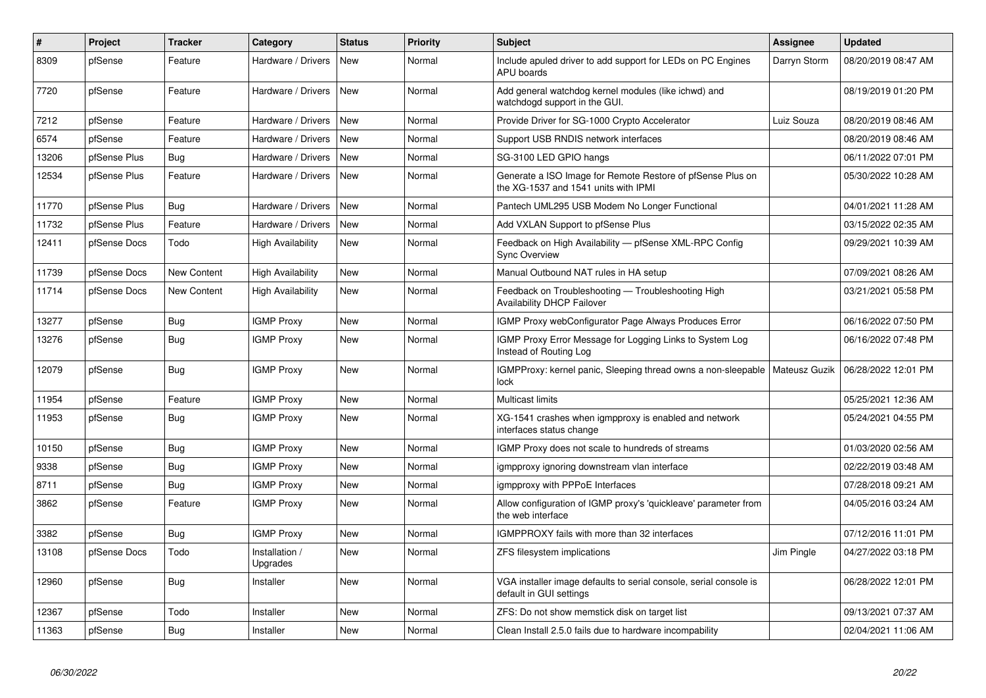| $\vert$ # | Project      | <b>Tracker</b> | Category                   | <b>Status</b> | Priority | <b>Subject</b>                                                                                     | Assignee     | <b>Updated</b>      |
|-----------|--------------|----------------|----------------------------|---------------|----------|----------------------------------------------------------------------------------------------------|--------------|---------------------|
| 8309      | pfSense      | Feature        | Hardware / Drivers         | New           | Normal   | Include apuled driver to add support for LEDs on PC Engines<br>APU boards                          | Darryn Storm | 08/20/2019 08:47 AM |
| 7720      | pfSense      | Feature        | Hardware / Drivers         | New           | Normal   | Add general watchdog kernel modules (like ichwd) and<br>watchdogd support in the GUI.              |              | 08/19/2019 01:20 PM |
| 7212      | pfSense      | Feature        | Hardware / Drivers         | New           | Normal   | Provide Driver for SG-1000 Crypto Accelerator                                                      | Luiz Souza   | 08/20/2019 08:46 AM |
| 6574      | pfSense      | Feature        | Hardware / Drivers         | New           | Normal   | Support USB RNDIS network interfaces                                                               |              | 08/20/2019 08:46 AM |
| 13206     | pfSense Plus | Bug            | Hardware / Drivers         | <b>New</b>    | Normal   | SG-3100 LED GPIO hangs                                                                             |              | 06/11/2022 07:01 PM |
| 12534     | pfSense Plus | Feature        | Hardware / Drivers         | New           | Normal   | Generate a ISO Image for Remote Restore of pfSense Plus on<br>the XG-1537 and 1541 units with IPMI |              | 05/30/2022 10:28 AM |
| 11770     | pfSense Plus | Bug            | Hardware / Drivers         | New           | Normal   | Pantech UML295 USB Modem No Longer Functional                                                      |              | 04/01/2021 11:28 AM |
| 11732     | pfSense Plus | Feature        | Hardware / Drivers         | New           | Normal   | Add VXLAN Support to pfSense Plus                                                                  |              | 03/15/2022 02:35 AM |
| 12411     | pfSense Docs | Todo           | High Availability          | New           | Normal   | Feedback on High Availability - pfSense XML-RPC Config<br><b>Sync Overview</b>                     |              | 09/29/2021 10:39 AM |
| 11739     | pfSense Docs | New Content    | <b>High Availability</b>   | New           | Normal   | Manual Outbound NAT rules in HA setup                                                              |              | 07/09/2021 08:26 AM |
| 11714     | pfSense Docs | New Content    | High Availability          | <b>New</b>    | Normal   | Feedback on Troubleshooting - Troubleshooting High<br>Availability DHCP Failover                   |              | 03/21/2021 05:58 PM |
| 13277     | pfSense      | <b>Bug</b>     | <b>IGMP Proxy</b>          | <b>New</b>    | Normal   | IGMP Proxy webConfigurator Page Always Produces Error                                              |              | 06/16/2022 07:50 PM |
| 13276     | pfSense      | <b>Bug</b>     | <b>IGMP Proxy</b>          | New           | Normal   | IGMP Proxy Error Message for Logging Links to System Log<br>Instead of Routing Log                 |              | 06/16/2022 07:48 PM |
| 12079     | pfSense      | Bug            | <b>IGMP Proxy</b>          | <b>New</b>    | Normal   | IGMPProxy: kernel panic, Sleeping thread owns a non-sleepable   Mateusz Guzik<br>lock              |              | 06/28/2022 12:01 PM |
| 11954     | pfSense      | Feature        | <b>IGMP Proxy</b>          | <b>New</b>    | Normal   | <b>Multicast limits</b>                                                                            |              | 05/25/2021 12:36 AM |
| 11953     | pfSense      | Bug            | <b>IGMP Proxy</b>          | New           | Normal   | XG-1541 crashes when igmpproxy is enabled and network<br>interfaces status change                  |              | 05/24/2021 04:55 PM |
| 10150     | pfSense      | <b>Bug</b>     | <b>IGMP Proxy</b>          | <b>New</b>    | Normal   | IGMP Proxy does not scale to hundreds of streams                                                   |              | 01/03/2020 02:56 AM |
| 9338      | pfSense      | Bug            | <b>IGMP Proxy</b>          | <b>New</b>    | Normal   | igmpproxy ignoring downstream vlan interface                                                       |              | 02/22/2019 03:48 AM |
| 8711      | pfSense      | <b>Bug</b>     | <b>IGMP Proxy</b>          | <b>New</b>    | Normal   | igmpproxy with PPPoE Interfaces                                                                    |              | 07/28/2018 09:21 AM |
| 3862      | pfSense      | Feature        | <b>IGMP Proxy</b>          | <b>New</b>    | Normal   | Allow configuration of IGMP proxy's 'quickleave' parameter from<br>the web interface               |              | 04/05/2016 03:24 AM |
| 3382      | pfSense      | <b>Bug</b>     | <b>IGMP Proxy</b>          | New           | Normal   | IGMPPROXY fails with more than 32 interfaces                                                       |              | 07/12/2016 11:01 PM |
| 13108     | pfSense Docs | Todo           | Installation /<br>Upgrades | <b>New</b>    | Normal   | ZFS filesystem implications                                                                        | Jim Pingle   | 04/27/2022 03:18 PM |
| 12960     | pfSense      | <b>Bug</b>     | Installer                  | <b>New</b>    | Normal   | VGA installer image defaults to serial console, serial console is<br>default in GUI settings       |              | 06/28/2022 12:01 PM |
| 12367     | pfSense      | Todo           | Installer                  | <b>New</b>    | Normal   | ZFS: Do not show memstick disk on target list                                                      |              | 09/13/2021 07:37 AM |
| 11363     | pfSense      | <b>Bug</b>     | Installer                  | <b>New</b>    | Normal   | Clean Install 2.5.0 fails due to hardware incompability                                            |              | 02/04/2021 11:06 AM |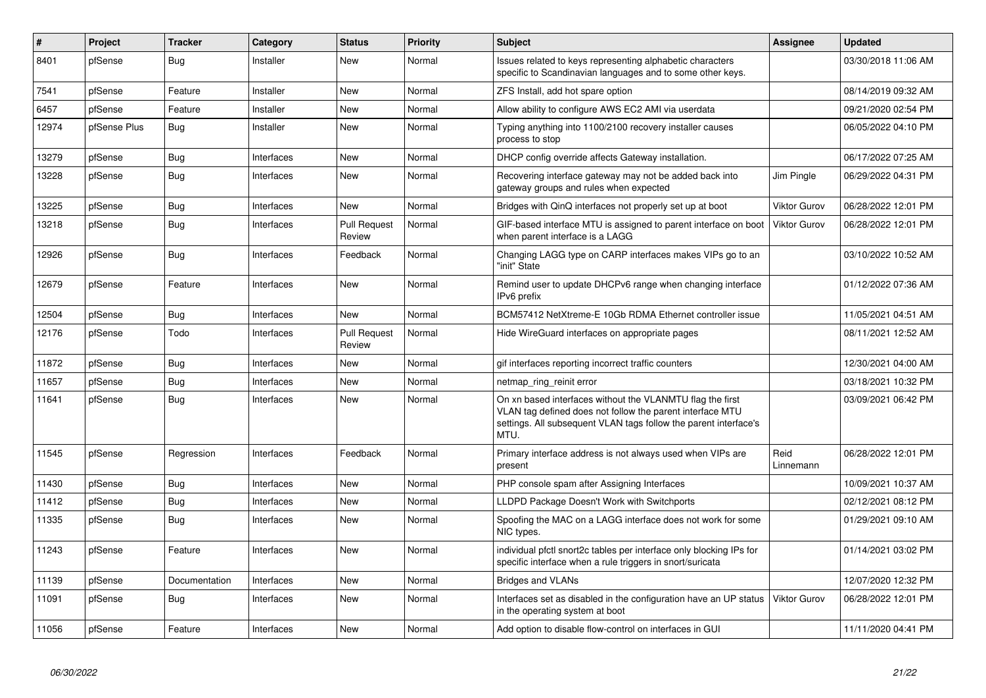| $\#$  | Project      | <b>Tracker</b> | Category   | <b>Status</b>                 | Priority | <b>Subject</b>                                                                                                                                                                                     | <b>Assignee</b>     | <b>Updated</b>      |
|-------|--------------|----------------|------------|-------------------------------|----------|----------------------------------------------------------------------------------------------------------------------------------------------------------------------------------------------------|---------------------|---------------------|
| 8401  | pfSense      | Bug            | Installer  | <b>New</b>                    | Normal   | Issues related to keys representing alphabetic characters<br>specific to Scandinavian languages and to some other keys.                                                                            |                     | 03/30/2018 11:06 AM |
| 7541  | pfSense      | Feature        | Installer  | New                           | Normal   | ZFS Install, add hot spare option                                                                                                                                                                  |                     | 08/14/2019 09:32 AM |
| 6457  | pfSense      | Feature        | Installer  | <b>New</b>                    | Normal   | Allow ability to configure AWS EC2 AMI via userdata                                                                                                                                                |                     | 09/21/2020 02:54 PM |
| 12974 | pfSense Plus | Bug            | Installer  | <b>New</b>                    | Normal   | Typing anything into 1100/2100 recovery installer causes<br>process to stop                                                                                                                        |                     | 06/05/2022 04:10 PM |
| 13279 | pfSense      | <b>Bug</b>     | Interfaces | New                           | Normal   | DHCP config override affects Gateway installation.                                                                                                                                                 |                     | 06/17/2022 07:25 AM |
| 13228 | pfSense      | <b>Bug</b>     | Interfaces | New                           | Normal   | Recovering interface gateway may not be added back into<br>gateway groups and rules when expected                                                                                                  | Jim Pingle          | 06/29/2022 04:31 PM |
| 13225 | pfSense      | <b>Bug</b>     | Interfaces | New                           | Normal   | Bridges with QinQ interfaces not properly set up at boot                                                                                                                                           | Viktor Gurov        | 06/28/2022 12:01 PM |
| 13218 | pfSense      | <b>Bug</b>     | Interfaces | <b>Pull Request</b><br>Review | Normal   | GIF-based interface MTU is assigned to parent interface on boot<br>when parent interface is a LAGG                                                                                                 | Viktor Gurov        | 06/28/2022 12:01 PM |
| 12926 | pfSense      | Bug            | Interfaces | Feedback                      | Normal   | Changing LAGG type on CARP interfaces makes VIPs go to an<br>'init" State                                                                                                                          |                     | 03/10/2022 10:52 AM |
| 12679 | pfSense      | Feature        | Interfaces | New                           | Normal   | Remind user to update DHCPv6 range when changing interface<br>IPv6 prefix                                                                                                                          |                     | 01/12/2022 07:36 AM |
| 12504 | pfSense      | Bug            | Interfaces | New                           | Normal   | BCM57412 NetXtreme-E 10Gb RDMA Ethernet controller issue                                                                                                                                           |                     | 11/05/2021 04:51 AM |
| 12176 | pfSense      | Todo           | Interfaces | <b>Pull Request</b><br>Review | Normal   | Hide WireGuard interfaces on appropriate pages                                                                                                                                                     |                     | 08/11/2021 12:52 AM |
| 11872 | pfSense      | Bug            | Interfaces | <b>New</b>                    | Normal   | gif interfaces reporting incorrect traffic counters                                                                                                                                                |                     | 12/30/2021 04:00 AM |
| 11657 | pfSense      | <b>Bug</b>     | Interfaces | New                           | Normal   | netmap ring reinit error                                                                                                                                                                           |                     | 03/18/2021 10:32 PM |
| 11641 | pfSense      | Bug            | Interfaces | <b>New</b>                    | Normal   | On xn based interfaces without the VLANMTU flag the first<br>VLAN tag defined does not follow the parent interface MTU<br>settings. All subsequent VLAN tags follow the parent interface's<br>MTU. |                     | 03/09/2021 06:42 PM |
| 11545 | pfSense      | Regression     | Interfaces | Feedback                      | Normal   | Primary interface address is not always used when VIPs are<br>present                                                                                                                              | Reid<br>Linnemann   | 06/28/2022 12:01 PM |
| 11430 | pfSense      | Bug            | Interfaces | <b>New</b>                    | Normal   | PHP console spam after Assigning Interfaces                                                                                                                                                        |                     | 10/09/2021 10:37 AM |
| 11412 | pfSense      | <b>Bug</b>     | Interfaces | New                           | Normal   | LLDPD Package Doesn't Work with Switchports                                                                                                                                                        |                     | 02/12/2021 08:12 PM |
| 11335 | pfSense      | Bug            | Interfaces | New                           | Normal   | Spoofing the MAC on a LAGG interface does not work for some<br>NIC types.                                                                                                                          |                     | 01/29/2021 09:10 AM |
| 11243 | pfSense      | Feature        | Interfaces | <b>New</b>                    | Normal   | individual pfctl snort2c tables per interface only blocking IPs for<br>specific interface when a rule triggers in snort/suricata                                                                   |                     | 01/14/2021 03:02 PM |
| 11139 | pfSense      | Documentation  | Interfaces | <b>New</b>                    | Normal   | <b>Bridges and VLANs</b>                                                                                                                                                                           |                     | 12/07/2020 12:32 PM |
| 11091 | pfSense      | <b>Bug</b>     | Interfaces | <b>New</b>                    | Normal   | Interfaces set as disabled in the configuration have an UP status<br>in the operating system at boot                                                                                               | <b>Viktor Gurov</b> | 06/28/2022 12:01 PM |
| 11056 | pfSense      | Feature        | Interfaces | <b>New</b>                    | Normal   | Add option to disable flow-control on interfaces in GUI                                                                                                                                            |                     | 11/11/2020 04:41 PM |